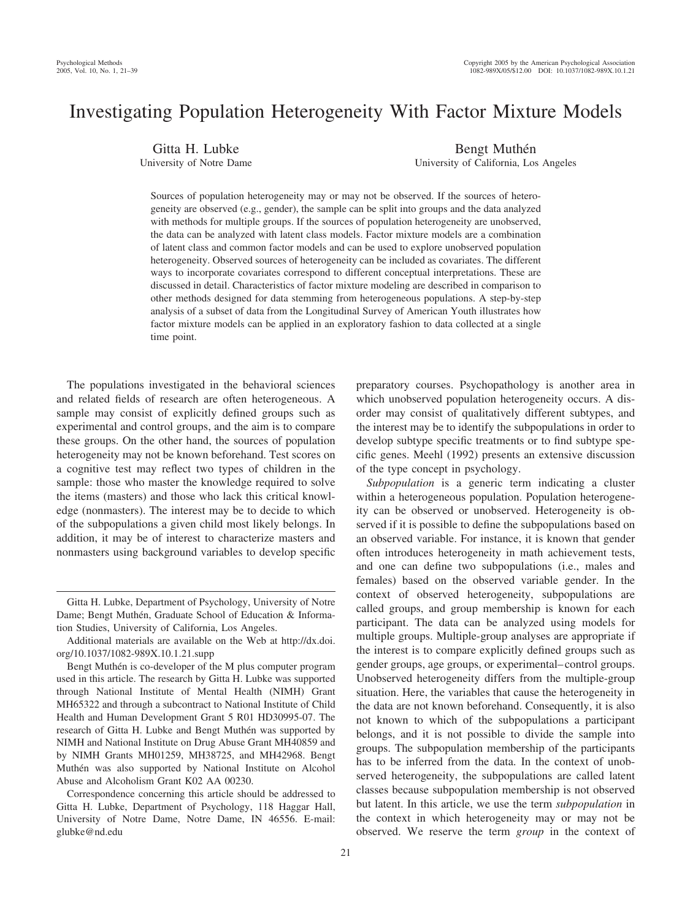# Investigating Population Heterogeneity With Factor Mixture Models

Gitta H. Lubke University of Notre Dame Bengt Muthén

University of California, Los Angeles

Sources of population heterogeneity may or may not be observed. If the sources of heterogeneity are observed (e.g., gender), the sample can be split into groups and the data analyzed with methods for multiple groups. If the sources of population heterogeneity are unobserved, the data can be analyzed with latent class models. Factor mixture models are a combination of latent class and common factor models and can be used to explore unobserved population heterogeneity. Observed sources of heterogeneity can be included as covariates. The different ways to incorporate covariates correspond to different conceptual interpretations. These are discussed in detail. Characteristics of factor mixture modeling are described in comparison to other methods designed for data stemming from heterogeneous populations. A step-by-step analysis of a subset of data from the Longitudinal Survey of American Youth illustrates how factor mixture models can be applied in an exploratory fashion to data collected at a single time point.

The populations investigated in the behavioral sciences and related fields of research are often heterogeneous. A sample may consist of explicitly defined groups such as experimental and control groups, and the aim is to compare these groups. On the other hand, the sources of population heterogeneity may not be known beforehand. Test scores on a cognitive test may reflect two types of children in the sample: those who master the knowledge required to solve the items (masters) and those who lack this critical knowledge (nonmasters). The interest may be to decide to which of the subpopulations a given child most likely belongs. In addition, it may be of interest to characterize masters and nonmasters using background variables to develop specific

Additional materials are available on the Web at http://dx.doi. org/10.1037/1082-989X.10.1.21.supp

preparatory courses. Psychopathology is another area in which unobserved population heterogeneity occurs. A disorder may consist of qualitatively different subtypes, and the interest may be to identify the subpopulations in order to develop subtype specific treatments or to find subtype specific genes. Meehl (1992) presents an extensive discussion of the type concept in psychology.

*Subpopulation* is a generic term indicating a cluster within a heterogeneous population. Population heterogeneity can be observed or unobserved. Heterogeneity is observed if it is possible to define the subpopulations based on an observed variable. For instance, it is known that gender often introduces heterogeneity in math achievement tests, and one can define two subpopulations (i.e., males and females) based on the observed variable gender. In the context of observed heterogeneity, subpopulations are called groups, and group membership is known for each participant. The data can be analyzed using models for multiple groups. Multiple-group analyses are appropriate if the interest is to compare explicitly defined groups such as gender groups, age groups, or experimental–control groups. Unobserved heterogeneity differs from the multiple-group situation. Here, the variables that cause the heterogeneity in the data are not known beforehand. Consequently, it is also not known to which of the subpopulations a participant belongs, and it is not possible to divide the sample into groups. The subpopulation membership of the participants has to be inferred from the data. In the context of unobserved heterogeneity, the subpopulations are called latent classes because subpopulation membership is not observed but latent. In this article, we use the term *subpopulation* in the context in which heterogeneity may or may not be observed. We reserve the term *group* in the context of

Gitta H. Lubke, Department of Psychology, University of Notre Dame; Bengt Muthén, Graduate School of Education & Information Studies, University of California, Los Angeles.

Bengt Muthén is co-developer of the M plus computer program used in this article. The research by Gitta H. Lubke was supported through National Institute of Mental Health (NIMH) Grant MH65322 and through a subcontract to National Institute of Child Health and Human Development Grant 5 R01 HD30995-07. The research of Gitta H. Lubke and Bengt Muthén was supported by NIMH and National Institute on Drug Abuse Grant MH40859 and by NIMH Grants MH01259, MH38725, and MH42968. Bengt Muthén was also supported by National Institute on Alcohol Abuse and Alcoholism Grant K02 AA 00230.

Correspondence concerning this article should be addressed to Gitta H. Lubke, Department of Psychology, 118 Haggar Hall, University of Notre Dame, Notre Dame, IN 46556. E-mail: glubke@nd.edu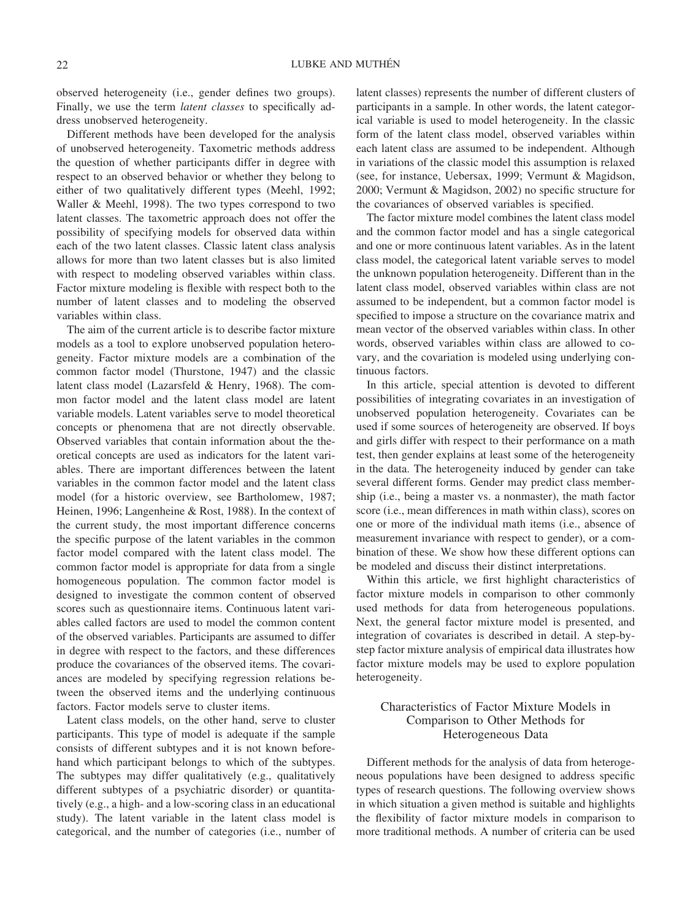observed heterogeneity (i.e., gender defines two groups). Finally, we use the term *latent classes* to specifically address unobserved heterogeneity.

Different methods have been developed for the analysis of unobserved heterogeneity. Taxometric methods address the question of whether participants differ in degree with respect to an observed behavior or whether they belong to either of two qualitatively different types (Meehl, 1992; Waller & Meehl, 1998). The two types correspond to two latent classes. The taxometric approach does not offer the possibility of specifying models for observed data within each of the two latent classes. Classic latent class analysis allows for more than two latent classes but is also limited with respect to modeling observed variables within class. Factor mixture modeling is flexible with respect both to the number of latent classes and to modeling the observed variables within class.

The aim of the current article is to describe factor mixture models as a tool to explore unobserved population heterogeneity. Factor mixture models are a combination of the common factor model (Thurstone, 1947) and the classic latent class model (Lazarsfeld & Henry, 1968). The common factor model and the latent class model are latent variable models. Latent variables serve to model theoretical concepts or phenomena that are not directly observable. Observed variables that contain information about the theoretical concepts are used as indicators for the latent variables. There are important differences between the latent variables in the common factor model and the latent class model (for a historic overview, see Bartholomew, 1987; Heinen, 1996; Langenheine & Rost, 1988). In the context of the current study, the most important difference concerns the specific purpose of the latent variables in the common factor model compared with the latent class model. The common factor model is appropriate for data from a single homogeneous population. The common factor model is designed to investigate the common content of observed scores such as questionnaire items. Continuous latent variables called factors are used to model the common content of the observed variables. Participants are assumed to differ in degree with respect to the factors, and these differences produce the covariances of the observed items. The covariances are modeled by specifying regression relations between the observed items and the underlying continuous factors. Factor models serve to cluster items.

Latent class models, on the other hand, serve to cluster participants. This type of model is adequate if the sample consists of different subtypes and it is not known beforehand which participant belongs to which of the subtypes. The subtypes may differ qualitatively (e.g., qualitatively different subtypes of a psychiatric disorder) or quantitatively (e.g., a high- and a low-scoring class in an educational study). The latent variable in the latent class model is categorical, and the number of categories (i.e., number of

latent classes) represents the number of different clusters of participants in a sample. In other words, the latent categorical variable is used to model heterogeneity. In the classic form of the latent class model, observed variables within each latent class are assumed to be independent. Although in variations of the classic model this assumption is relaxed (see, for instance, Uebersax, 1999; Vermunt & Magidson, 2000; Vermunt & Magidson, 2002) no specific structure for the covariances of observed variables is specified.

The factor mixture model combines the latent class model and the common factor model and has a single categorical and one or more continuous latent variables. As in the latent class model, the categorical latent variable serves to model the unknown population heterogeneity. Different than in the latent class model, observed variables within class are not assumed to be independent, but a common factor model is specified to impose a structure on the covariance matrix and mean vector of the observed variables within class. In other words, observed variables within class are allowed to covary, and the covariation is modeled using underlying continuous factors.

In this article, special attention is devoted to different possibilities of integrating covariates in an investigation of unobserved population heterogeneity. Covariates can be used if some sources of heterogeneity are observed. If boys and girls differ with respect to their performance on a math test, then gender explains at least some of the heterogeneity in the data. The heterogeneity induced by gender can take several different forms. Gender may predict class membership (i.e., being a master vs. a nonmaster), the math factor score (i.e., mean differences in math within class), scores on one or more of the individual math items (i.e., absence of measurement invariance with respect to gender), or a combination of these. We show how these different options can be modeled and discuss their distinct interpretations.

Within this article, we first highlight characteristics of factor mixture models in comparison to other commonly used methods for data from heterogeneous populations. Next, the general factor mixture model is presented, and integration of covariates is described in detail. A step-bystep factor mixture analysis of empirical data illustrates how factor mixture models may be used to explore population heterogeneity.

# Characteristics of Factor Mixture Models in Comparison to Other Methods for Heterogeneous Data

Different methods for the analysis of data from heterogeneous populations have been designed to address specific types of research questions. The following overview shows in which situation a given method is suitable and highlights the flexibility of factor mixture models in comparison to more traditional methods. A number of criteria can be used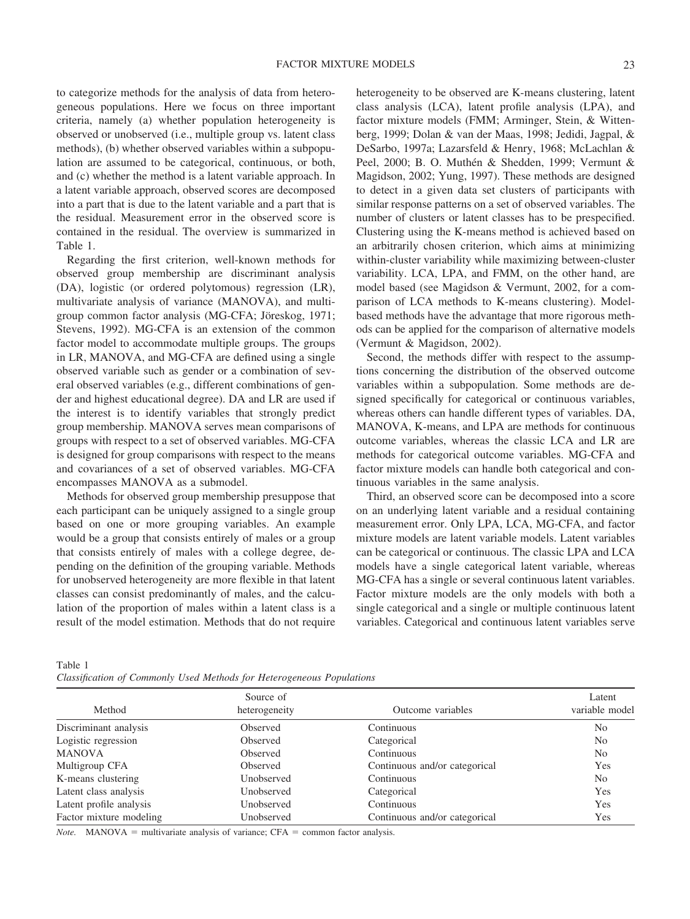to categorize methods for the analysis of data from heterogeneous populations. Here we focus on three important criteria, namely (a) whether population heterogeneity is observed or unobserved (i.e., multiple group vs. latent class methods), (b) whether observed variables within a subpopulation are assumed to be categorical, continuous, or both, and (c) whether the method is a latent variable approach. In a latent variable approach, observed scores are decomposed into a part that is due to the latent variable and a part that is the residual. Measurement error in the observed score is contained in the residual. The overview is summarized in Table 1.

Regarding the first criterion, well-known methods for observed group membership are discriminant analysis (DA), logistic (or ordered polytomous) regression (LR), multivariate analysis of variance (MANOVA), and multigroup common factor analysis (MG-CFA; Jöreskog, 1971; Stevens, 1992). MG-CFA is an extension of the common factor model to accommodate multiple groups. The groups in LR, MANOVA, and MG-CFA are defined using a single observed variable such as gender or a combination of several observed variables (e.g., different combinations of gender and highest educational degree). DA and LR are used if the interest is to identify variables that strongly predict group membership. MANOVA serves mean comparisons of groups with respect to a set of observed variables. MG-CFA is designed for group comparisons with respect to the means and covariances of a set of observed variables. MG-CFA encompasses MANOVA as a submodel.

Methods for observed group membership presuppose that each participant can be uniquely assigned to a single group based on one or more grouping variables. An example would be a group that consists entirely of males or a group that consists entirely of males with a college degree, depending on the definition of the grouping variable. Methods for unobserved heterogeneity are more flexible in that latent classes can consist predominantly of males, and the calculation of the proportion of males within a latent class is a result of the model estimation. Methods that do not require heterogeneity to be observed are K-means clustering, latent class analysis (LCA), latent profile analysis (LPA), and factor mixture models (FMM; Arminger, Stein, & Wittenberg, 1999; Dolan & van der Maas, 1998; Jedidi, Jagpal, & DeSarbo, 1997a; Lazarsfeld & Henry, 1968; McLachlan & Peel, 2000; B. O. Muthén & Shedden, 1999; Vermunt & Magidson, 2002; Yung, 1997). These methods are designed to detect in a given data set clusters of participants with similar response patterns on a set of observed variables. The number of clusters or latent classes has to be prespecified. Clustering using the K-means method is achieved based on an arbitrarily chosen criterion, which aims at minimizing within-cluster variability while maximizing between-cluster variability. LCA, LPA, and FMM, on the other hand, are model based (see Magidson & Vermunt, 2002, for a comparison of LCA methods to K-means clustering). Modelbased methods have the advantage that more rigorous methods can be applied for the comparison of alternative models (Vermunt & Magidson, 2002).

Second, the methods differ with respect to the assumptions concerning the distribution of the observed outcome variables within a subpopulation. Some methods are designed specifically for categorical or continuous variables, whereas others can handle different types of variables. DA, MANOVA, K-means, and LPA are methods for continuous outcome variables, whereas the classic LCA and LR are methods for categorical outcome variables. MG-CFA and factor mixture models can handle both categorical and continuous variables in the same analysis.

Third, an observed score can be decomposed into a score on an underlying latent variable and a residual containing measurement error. Only LPA, LCA, MG-CFA, and factor mixture models are latent variable models. Latent variables can be categorical or continuous. The classic LPA and LCA models have a single categorical latent variable, whereas MG-CFA has a single or several continuous latent variables. Factor mixture models are the only models with both a single categorical and a single or multiple continuous latent variables. Categorical and continuous latent variables serve

Table 1

|  |  |  |  |  |  | Classification of Commonly Used Methods for Heterogeneous Populations |  |
|--|--|--|--|--|--|-----------------------------------------------------------------------|--|
|--|--|--|--|--|--|-----------------------------------------------------------------------|--|

|                         | Source of     |                               | Latent         |
|-------------------------|---------------|-------------------------------|----------------|
| Method                  | heterogeneity | Outcome variables             | variable model |
| Discriminant analysis   | Observed      | Continuous                    | N <sub>0</sub> |
| Logistic regression     | Observed      | Categorical                   | N <sub>0</sub> |
| <b>MANOVA</b>           | Observed      | Continuous                    | N <sub>0</sub> |
| Multigroup CFA          | Observed      | Continuous and/or categorical | Yes            |
| K-means clustering      | Unobserved    | Continuous                    | N <sub>0</sub> |
| Latent class analysis   | Unobserved    | Categorical                   | Yes            |
| Latent profile analysis | Unobserved    | Continuous                    | <b>Yes</b>     |
| Factor mixture modeling | Unobserved    | Continuous and/or categorical | Yes            |

 $MANOVA = multivariate$  analysis of variance;  $CFA =$  common factor analysis.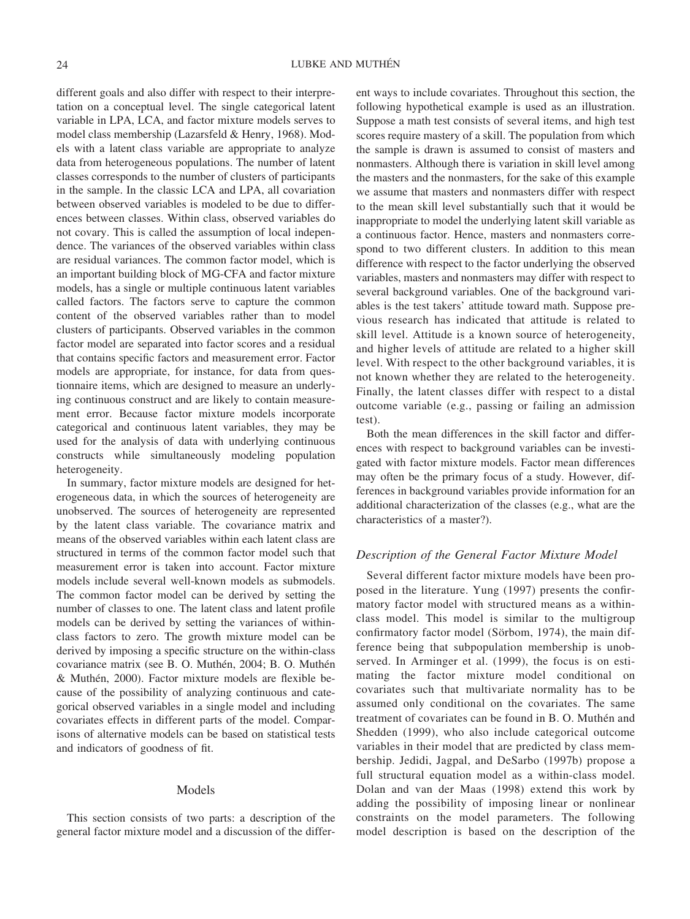different goals and also differ with respect to their interpretation on a conceptual level. The single categorical latent variable in LPA, LCA, and factor mixture models serves to model class membership (Lazarsfeld & Henry, 1968). Models with a latent class variable are appropriate to analyze data from heterogeneous populations. The number of latent classes corresponds to the number of clusters of participants in the sample. In the classic LCA and LPA, all covariation between observed variables is modeled to be due to differences between classes. Within class, observed variables do not covary. This is called the assumption of local independence. The variances of the observed variables within class are residual variances. The common factor model, which is an important building block of MG-CFA and factor mixture models, has a single or multiple continuous latent variables called factors. The factors serve to capture the common content of the observed variables rather than to model clusters of participants. Observed variables in the common factor model are separated into factor scores and a residual that contains specific factors and measurement error. Factor models are appropriate, for instance, for data from questionnaire items, which are designed to measure an underlying continuous construct and are likely to contain measurement error. Because factor mixture models incorporate categorical and continuous latent variables, they may be used for the analysis of data with underlying continuous constructs while simultaneously modeling population heterogeneity.

In summary, factor mixture models are designed for heterogeneous data, in which the sources of heterogeneity are unobserved. The sources of heterogeneity are represented by the latent class variable. The covariance matrix and means of the observed variables within each latent class are structured in terms of the common factor model such that measurement error is taken into account. Factor mixture models include several well-known models as submodels. The common factor model can be derived by setting the number of classes to one. The latent class and latent profile models can be derived by setting the variances of withinclass factors to zero. The growth mixture model can be derived by imposing a specific structure on the within-class covariance matrix (see B. O. Muthén, 2004; B. O. Muthén & Muthén, 2000). Factor mixture models are flexible because of the possibility of analyzing continuous and categorical observed variables in a single model and including covariates effects in different parts of the model. Comparisons of alternative models can be based on statistical tests and indicators of goodness of fit.

#### Models

This section consists of two parts: a description of the general factor mixture model and a discussion of the different ways to include covariates. Throughout this section, the following hypothetical example is used as an illustration. Suppose a math test consists of several items, and high test scores require mastery of a skill. The population from which the sample is drawn is assumed to consist of masters and nonmasters. Although there is variation in skill level among the masters and the nonmasters, for the sake of this example we assume that masters and nonmasters differ with respect to the mean skill level substantially such that it would be inappropriate to model the underlying latent skill variable as a continuous factor. Hence, masters and nonmasters correspond to two different clusters. In addition to this mean difference with respect to the factor underlying the observed variables, masters and nonmasters may differ with respect to several background variables. One of the background variables is the test takers' attitude toward math. Suppose previous research has indicated that attitude is related to skill level. Attitude is a known source of heterogeneity, and higher levels of attitude are related to a higher skill level. With respect to the other background variables, it is not known whether they are related to the heterogeneity. Finally, the latent classes differ with respect to a distal outcome variable (e.g., passing or failing an admission test).

Both the mean differences in the skill factor and differences with respect to background variables can be investigated with factor mixture models. Factor mean differences may often be the primary focus of a study. However, differences in background variables provide information for an additional characterization of the classes (e.g., what are the characteristics of a master?).

# *Description of the General Factor Mixture Model*

Several different factor mixture models have been proposed in the literature. Yung (1997) presents the confirmatory factor model with structured means as a withinclass model. This model is similar to the multigroup confirmatory factor model (Sörbom, 1974), the main difference being that subpopulation membership is unobserved. In Arminger et al. (1999), the focus is on estimating the factor mixture model conditional on covariates such that multivariate normality has to be assumed only conditional on the covariates. The same treatment of covariates can be found in B.O. Muthén and Shedden (1999), who also include categorical outcome variables in their model that are predicted by class membership. Jedidi, Jagpal, and DeSarbo (1997b) propose a full structural equation model as a within-class model. Dolan and van der Maas (1998) extend this work by adding the possibility of imposing linear or nonlinear constraints on the model parameters. The following model description is based on the description of the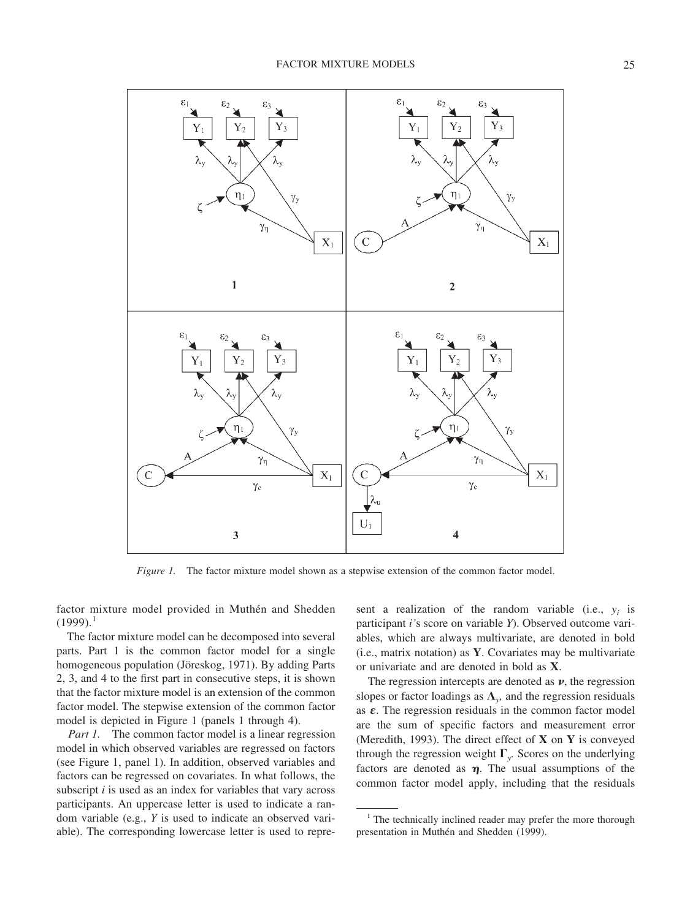

*Figure 1.* The factor mixture model shown as a stepwise extension of the common factor model.

factor mixture model provided in Muthén and Shedden  $(1999).$ <sup>1</sup>

The factor mixture model can be decomposed into several parts. Part 1 is the common factor model for a single homogeneous population (Jöreskog, 1971). By adding Parts 2, 3, and 4 to the first part in consecutive steps, it is shown that the factor mixture model is an extension of the common factor model. The stepwise extension of the common factor model is depicted in Figure 1 (panels 1 through 4).

*Part 1.* The common factor model is a linear regression model in which observed variables are regressed on factors (see Figure 1, panel 1). In addition, observed variables and factors can be regressed on covariates. In what follows, the subscript *i* is used as an index for variables that vary across participants. An uppercase letter is used to indicate a random variable (e.g., *Y* is used to indicate an observed variable). The corresponding lowercase letter is used to represent a realization of the random variable (i.e.,  $y_i$  is participant *i'*s score on variable *Y*). Observed outcome variables, which are always multivariate, are denoted in bold (i.e., matrix notation) as **Y**. Covariates may be multivariate or univariate and are denoted in bold as **X**.

The regression intercepts are denoted as  $\nu$ , the regression slopes or factor loadings as  $\Lambda_{y}$ , and the regression residuals as  $\varepsilon$ . The regression residuals in the common factor model are the sum of specific factors and measurement error (Meredith, 1993). The direct effect of **X** on **Y** is conveyed through the regression weight  $\Gamma_{v}$ . Scores on the underlying factors are denoted as  $\eta$ . The usual assumptions of the common factor model apply, including that the residuals

<sup>&</sup>lt;sup>1</sup> The technically inclined reader may prefer the more thorough presentation in Muthén and Shedden (1999).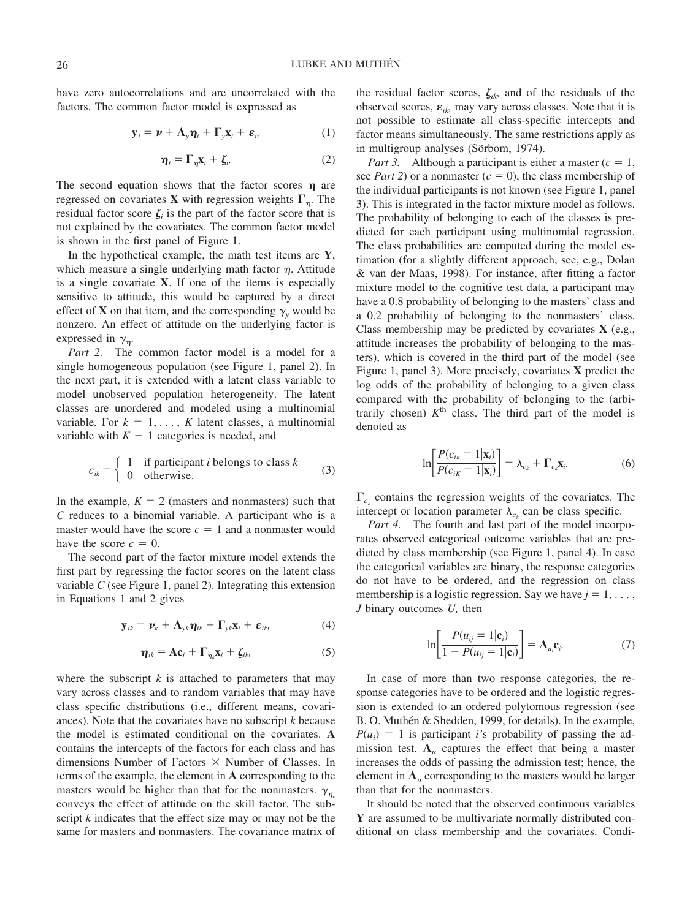have zero autocorrelations and are uncorrelated with the factors. The common factor model is expressed as

$$
\mathbf{y}_i = \boldsymbol{\nu} + \boldsymbol{\Lambda}_y \boldsymbol{\eta}_i + \boldsymbol{\Gamma}_y \mathbf{x}_i + \boldsymbol{\varepsilon}_i, \tag{1}
$$

$$
\boldsymbol{\eta}_i = \boldsymbol{\Gamma}_{\boldsymbol{\eta}} \mathbf{x}_i + \boldsymbol{\zeta}_i. \tag{2}
$$

The second equation shows that the factor scores  $\eta$  are regressed on covariates **X** with regression weights  $\Gamma_n$ . The residual factor score  $\zeta$  is the part of the factor score that is not explained by the covariates. The common factor model is shown in the first panel of Figure 1.

In the hypothetical example, the math test items are **Y**, which measure a single underlying math factor  $\eta$ . Attitude is a single covariate **X**. If one of the items is especially sensitive to attitude, this would be captured by a direct effect of **X** on that item, and the corresponding  $\gamma$ , would be nonzero. An effect of attitude on the underlying factor is expressed in  $\gamma_n$ .

*Part 2.* The common factor model is a model for a single homogeneous population (see Figure 1, panel 2). In the next part, it is extended with a latent class variable to model unobserved population heterogeneity. The latent classes are unordered and modeled using a multinomial variable. For  $k = 1, \ldots, K$  latent classes, a multinomial variable with  $K - 1$  categories is needed, and

$$
c_{ik} = \begin{cases} 1 & \text{if participant } i \text{ belongs to class } k \\ 0 & \text{otherwise.} \end{cases}
$$
 (3)

In the example,  $K = 2$  (masters and nonmasters) such that *C* reduces to a binomial variable. A participant who is a master would have the score  $c = 1$  and a nonmaster would have the score  $c = 0$ .

The second part of the factor mixture model extends the first part by regressing the factor scores on the latent class variable *C* (see Figure 1, panel 2). Integrating this extension in Equations 1 and 2 gives

$$
\mathbf{y}_{ik} = \mathbf{v}_k + \mathbf{\Lambda}_{yk} \mathbf{\eta}_{ik} + \mathbf{\Gamma}_{yk} \mathbf{x}_i + \mathbf{\varepsilon}_{ik}, \tag{4}
$$

$$
\boldsymbol{\eta}_{ik} = \mathbf{A}\mathbf{c}_i + \boldsymbol{\Gamma}_{\eta_k}\mathbf{x}_i + \boldsymbol{\zeta}_{ik},
$$
 (5)

where the subscript  $k$  is attached to parameters that may vary across classes and to random variables that may have class specific distributions (i.e., different means, covariances). Note that the covariates have no subscript *k* because the model is estimated conditional on the covariates. **A** contains the intercepts of the factors for each class and has dimensions Number of Factors  $\times$  Number of Classes. In terms of the example, the element in **A** corresponding to the masters would be higher than that for the nonmasters.  $\gamma_{n_k}$ conveys the effect of attitude on the skill factor. The subscript *k* indicates that the effect size may or may not be the same for masters and nonmasters. The covariance matrix of the residual factor scores,  $\zeta_{ik}$  and of the residuals of the observed scores,  $\varepsilon_{ik}$ , may vary across classes. Note that it is not possible to estimate all class-specific intercepts and factor means simultaneously. The same restrictions apply as in multigroup analyses (Sörbom, 1974).

*Part 3.* Although a participant is either a master  $(c = 1,$ see *Part 2*) or a nonmaster  $(c = 0)$ , the class membership of the individual participants is not known (see Figure 1, panel 3). This is integrated in the factor mixture model as follows. The probability of belonging to each of the classes is predicted for each participant using multinomial regression. The class probabilities are computed during the model estimation (for a slightly different approach, see, e.g., Dolan & van der Maas, 1998). For instance, after fitting a factor mixture model to the cognitive test data, a participant may have a 0.8 probability of belonging to the masters' class and a 0.2 probability of belonging to the nonmasters' class. Class membership may be predicted by covariates **X** (e.g., attitude increases the probability of belonging to the masters), which is covered in the third part of the model (see Figure 1, panel 3). More precisely, covariates **X** predict the log odds of the probability of belonging to a given class compared with the probability of belonging to the (arbitrarily chosen)  $K<sup>th</sup>$  class. The third part of the model is denoted as

$$
\ln\left[\frac{P(c_{ik}=1|\mathbf{x}_i)}{P(c_{ik}=1|\mathbf{x}_i)}\right] = \lambda_{c_k} + \Gamma_{c_k}\mathbf{x}_i.
$$
 (6)

 $\Gamma_{c_k}$  contains the regression weights of the covariates. The intercept or location parameter  $\lambda_c$  can be class specific.

*Part 4.* The fourth and last part of the model incorporates observed categorical outcome variables that are predicted by class membership (see Figure 1, panel 4). In case the categorical variables are binary, the response categories do not have to be ordered, and the regression on class membership is a logistic regression. Say we have  $j = 1, \ldots$ , *J* binary outcomes *U,* then

$$
\ln\left[\frac{P(u_{ij}=1|\mathbf{c}_i)}{1-P(u_{ij}=1|\mathbf{c}_i)}\right]=\Lambda_{u_j}\mathbf{c}_i.
$$
 (7)

In case of more than two response categories, the response categories have to be ordered and the logistic regression is extended to an ordered polytomous regression (see B. O. Muthén & Shedden, 1999, for details). In the example,  $P(u_i) = 1$  is participant *i*'s probability of passing the admission test.  $\Lambda_u$  captures the effect that being a master increases the odds of passing the admission test; hence, the element in  $\Lambda$ <sub>*u*</sub> corresponding to the masters would be larger than that for the nonmasters.

It should be noted that the observed continuous variables **Y** are assumed to be multivariate normally distributed conditional on class membership and the covariates. Condi-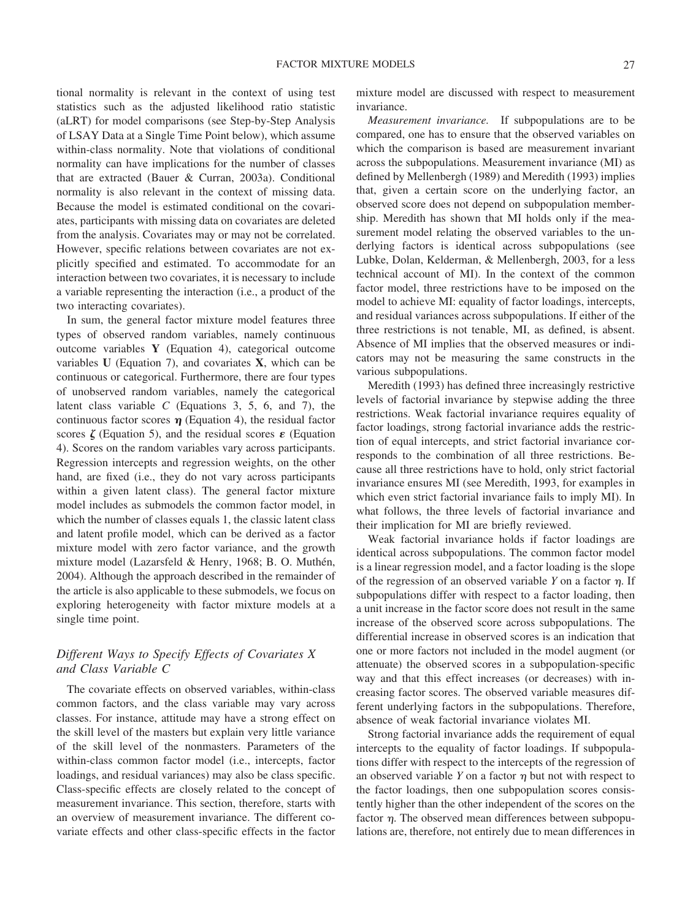tional normality is relevant in the context of using test statistics such as the adjusted likelihood ratio statistic (aLRT) for model comparisons (see Step-by-Step Analysis of LSAY Data at a Single Time Point below), which assume within-class normality. Note that violations of conditional normality can have implications for the number of classes that are extracted (Bauer & Curran, 2003a). Conditional normality is also relevant in the context of missing data. Because the model is estimated conditional on the covariates, participants with missing data on covariates are deleted from the analysis. Covariates may or may not be correlated. However, specific relations between covariates are not explicitly specified and estimated. To accommodate for an interaction between two covariates, it is necessary to include a variable representing the interaction (i.e., a product of the two interacting covariates).

In sum, the general factor mixture model features three types of observed random variables, namely continuous outcome variables **Y** (Equation 4), categorical outcome variables **U** (Equation 7), and covariates **X**, which can be continuous or categorical. Furthermore, there are four types of unobserved random variables, namely the categorical latent class variable *C* (Equations 3, 5, 6, and 7), the continuous factor scores  $\eta$  (Equation 4), the residual factor scores  $\zeta$  (Equation 5), and the residual scores  $\varepsilon$  (Equation 4). Scores on the random variables vary across participants. Regression intercepts and regression weights, on the other hand, are fixed (i.e., they do not vary across participants within a given latent class). The general factor mixture model includes as submodels the common factor model, in which the number of classes equals 1, the classic latent class and latent profile model, which can be derived as a factor mixture model with zero factor variance, and the growth mixture model (Lazarsfeld & Henry, 1968; B. O. Muthén, 2004). Although the approach described in the remainder of the article is also applicable to these submodels, we focus on exploring heterogeneity with factor mixture models at a single time point.

# *Different Ways to Specify Effects of Covariates X and Class Variable C*

The covariate effects on observed variables, within-class common factors, and the class variable may vary across classes. For instance, attitude may have a strong effect on the skill level of the masters but explain very little variance of the skill level of the nonmasters. Parameters of the within-class common factor model (i.e., intercepts, factor loadings, and residual variances) may also be class specific. Class-specific effects are closely related to the concept of measurement invariance. This section, therefore, starts with an overview of measurement invariance. The different covariate effects and other class-specific effects in the factor

mixture model are discussed with respect to measurement invariance.

*Measurement invariance.* If subpopulations are to be compared, one has to ensure that the observed variables on which the comparison is based are measurement invariant across the subpopulations. Measurement invariance (MI) as defined by Mellenbergh (1989) and Meredith (1993) implies that, given a certain score on the underlying factor, an observed score does not depend on subpopulation membership. Meredith has shown that MI holds only if the measurement model relating the observed variables to the underlying factors is identical across subpopulations (see Lubke, Dolan, Kelderman, & Mellenbergh, 2003, for a less technical account of MI). In the context of the common factor model, three restrictions have to be imposed on the model to achieve MI: equality of factor loadings, intercepts, and residual variances across subpopulations. If either of the three restrictions is not tenable, MI, as defined, is absent. Absence of MI implies that the observed measures or indicators may not be measuring the same constructs in the various subpopulations.

Meredith (1993) has defined three increasingly restrictive levels of factorial invariance by stepwise adding the three restrictions. Weak factorial invariance requires equality of factor loadings, strong factorial invariance adds the restriction of equal intercepts, and strict factorial invariance corresponds to the combination of all three restrictions. Because all three restrictions have to hold, only strict factorial invariance ensures MI (see Meredith, 1993, for examples in which even strict factorial invariance fails to imply MI). In what follows, the three levels of factorial invariance and their implication for MI are briefly reviewed.

Weak factorial invariance holds if factor loadings are identical across subpopulations. The common factor model is a linear regression model, and a factor loading is the slope of the regression of an observed variable  $Y$  on a factor  $\eta$ . If subpopulations differ with respect to a factor loading, then a unit increase in the factor score does not result in the same increase of the observed score across subpopulations. The differential increase in observed scores is an indication that one or more factors not included in the model augment (or attenuate) the observed scores in a subpopulation-specific way and that this effect increases (or decreases) with increasing factor scores. The observed variable measures different underlying factors in the subpopulations. Therefore, absence of weak factorial invariance violates MI.

Strong factorial invariance adds the requirement of equal intercepts to the equality of factor loadings. If subpopulations differ with respect to the intercepts of the regression of an observed variable  $Y$  on a factor  $\eta$  but not with respect to the factor loadings, then one subpopulation scores consistently higher than the other independent of the scores on the factor  $\eta$ . The observed mean differences between subpopulations are, therefore, not entirely due to mean differences in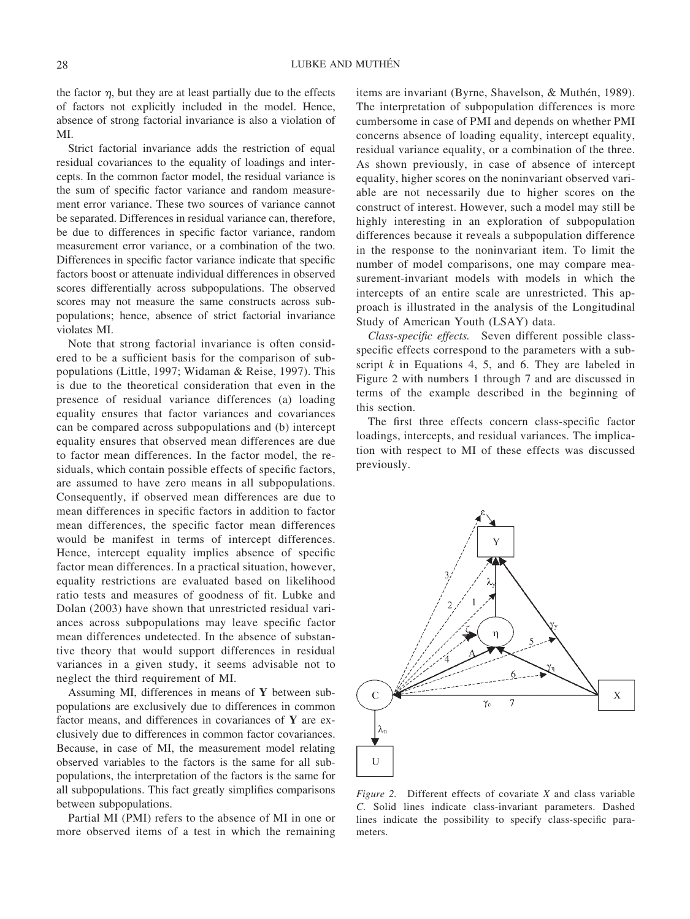the factor  $\eta$ , but they are at least partially due to the effects of factors not explicitly included in the model. Hence, absence of strong factorial invariance is also a violation of MI.

Strict factorial invariance adds the restriction of equal residual covariances to the equality of loadings and intercepts. In the common factor model, the residual variance is the sum of specific factor variance and random measurement error variance. These two sources of variance cannot be separated. Differences in residual variance can, therefore, be due to differences in specific factor variance, random measurement error variance, or a combination of the two. Differences in specific factor variance indicate that specific factors boost or attenuate individual differences in observed scores differentially across subpopulations. The observed scores may not measure the same constructs across subpopulations; hence, absence of strict factorial invariance violates MI.

Note that strong factorial invariance is often considered to be a sufficient basis for the comparison of subpopulations (Little, 1997; Widaman & Reise, 1997). This is due to the theoretical consideration that even in the presence of residual variance differences (a) loading equality ensures that factor variances and covariances can be compared across subpopulations and (b) intercept equality ensures that observed mean differences are due to factor mean differences. In the factor model, the residuals, which contain possible effects of specific factors, are assumed to have zero means in all subpopulations. Consequently, if observed mean differences are due to mean differences in specific factors in addition to factor mean differences, the specific factor mean differences would be manifest in terms of intercept differences. Hence, intercept equality implies absence of specific factor mean differences. In a practical situation, however, equality restrictions are evaluated based on likelihood ratio tests and measures of goodness of fit. Lubke and Dolan (2003) have shown that unrestricted residual variances across subpopulations may leave specific factor mean differences undetected. In the absence of substantive theory that would support differences in residual variances in a given study, it seems advisable not to neglect the third requirement of MI.

Assuming MI, differences in means of **Y** between subpopulations are exclusively due to differences in common factor means, and differences in covariances of **Y** are exclusively due to differences in common factor covariances. Because, in case of MI, the measurement model relating observed variables to the factors is the same for all subpopulations, the interpretation of the factors is the same for all subpopulations. This fact greatly simplifies comparisons between subpopulations.

Partial MI (PMI) refers to the absence of MI in one or more observed items of a test in which the remaining

items are invariant (Byrne, Shavelson, & Muthén, 1989). The interpretation of subpopulation differences is more cumbersome in case of PMI and depends on whether PMI concerns absence of loading equality, intercept equality, residual variance equality, or a combination of the three. As shown previously, in case of absence of intercept equality, higher scores on the noninvariant observed variable are not necessarily due to higher scores on the construct of interest. However, such a model may still be highly interesting in an exploration of subpopulation differences because it reveals a subpopulation difference in the response to the noninvariant item. To limit the number of model comparisons, one may compare measurement-invariant models with models in which the intercepts of an entire scale are unrestricted. This approach is illustrated in the analysis of the Longitudinal Study of American Youth (LSAY) data.

*Class-specific effects.* Seven different possible classspecific effects correspond to the parameters with a subscript *k* in Equations 4, 5, and 6. They are labeled in Figure 2 with numbers 1 through 7 and are discussed in terms of the example described in the beginning of this section.

The first three effects concern class-specific factor loadings, intercepts, and residual variances. The implication with respect to MI of these effects was discussed previously.



*Figure 2.* Different effects of covariate *X* and class variable *C.* Solid lines indicate class-invariant parameters. Dashed lines indicate the possibility to specify class-specific parameters.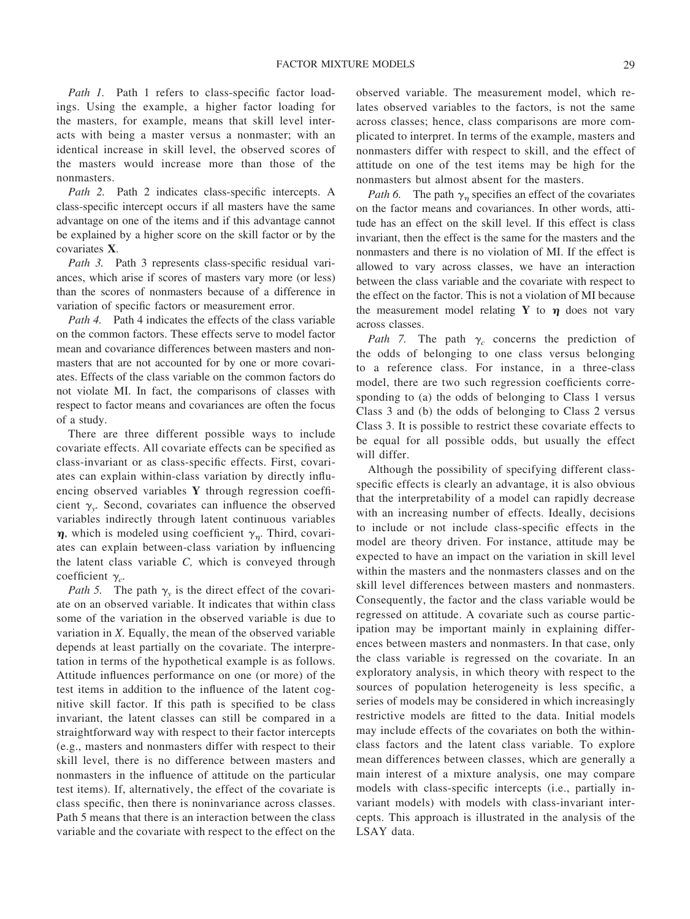Path 1. Path 1 refers to class-specific factor loadings. Using the example, a higher factor loading for the masters, for example, means that skill level interacts with being a master versus a nonmaster; with an identical increase in skill level, the observed scores of the masters would increase more than those of the nonmasters.

Path 2. Path 2 indicates class-specific intercepts. A class-specific intercept occurs if all masters have the same advantage on one of the items and if this advantage cannot be explained by a higher score on the skill factor or by the covariates **X**.

Path 3. Path 3 represents class-specific residual variances, which arise if scores of masters vary more (or less) than the scores of nonmasters because of a difference in variation of specific factors or measurement error.

*Path 4.* Path 4 indicates the effects of the class variable on the common factors. These effects serve to model factor mean and covariance differences between masters and nonmasters that are not accounted for by one or more covariates. Effects of the class variable on the common factors do not violate MI. In fact, the comparisons of classes with respect to factor means and covariances are often the focus of a study.

There are three different possible ways to include covariate effects. All covariate effects can be specified as class-invariant or as class-specific effects. First, covariates can explain within-class variation by directly influencing observed variables **Y** through regression coefficient  $\gamma_{v}$ . Second, covariates can influence the observed variables indirectly through latent continuous variables  $\eta$ , which is modeled using coefficient  $\gamma_{\eta}$ . Third, covariates can explain between-class variation by influencing the latent class variable *C,* which is conveyed through coefficient  $\gamma_c$ .

*Path 5.* The path  $\gamma_v$  is the direct effect of the covariate on an observed variable. It indicates that within class some of the variation in the observed variable is due to variation in *X.* Equally, the mean of the observed variable depends at least partially on the covariate. The interpretation in terms of the hypothetical example is as follows. Attitude influences performance on one (or more) of the test items in addition to the influence of the latent cognitive skill factor. If this path is specified to be class invariant, the latent classes can still be compared in a straightforward way with respect to their factor intercepts (e.g., masters and nonmasters differ with respect to their skill level, there is no difference between masters and nonmasters in the influence of attitude on the particular test items). If, alternatively, the effect of the covariate is class specific, then there is noninvariance across classes. Path 5 means that there is an interaction between the class variable and the covariate with respect to the effect on the observed variable. The measurement model, which relates observed variables to the factors, is not the same across classes; hence, class comparisons are more complicated to interpret. In terms of the example, masters and nonmasters differ with respect to skill, and the effect of attitude on one of the test items may be high for the nonmasters but almost absent for the masters.

*Path 6.* The path  $\gamma_n$  specifies an effect of the covariates on the factor means and covariances. In other words, attitude has an effect on the skill level. If this effect is class invariant, then the effect is the same for the masters and the nonmasters and there is no violation of MI. If the effect is allowed to vary across classes, we have an interaction between the class variable and the covariate with respect to the effect on the factor. This is not a violation of MI because the measurement model relating Y to  $\eta$  does not vary across classes.

*Path 7.* The path  $\gamma_c$  concerns the prediction of the odds of belonging to one class versus belonging to a reference class. For instance, in a three-class model, there are two such regression coefficients corresponding to (a) the odds of belonging to Class 1 versus Class 3 and (b) the odds of belonging to Class 2 versus Class 3. It is possible to restrict these covariate effects to be equal for all possible odds, but usually the effect will differ.

Although the possibility of specifying different classspecific effects is clearly an advantage, it is also obvious that the interpretability of a model can rapidly decrease with an increasing number of effects. Ideally, decisions to include or not include class-specific effects in the model are theory driven. For instance, attitude may be expected to have an impact on the variation in skill level within the masters and the nonmasters classes and on the skill level differences between masters and nonmasters. Consequently, the factor and the class variable would be regressed on attitude. A covariate such as course participation may be important mainly in explaining differences between masters and nonmasters. In that case, only the class variable is regressed on the covariate. In an exploratory analysis, in which theory with respect to the sources of population heterogeneity is less specific, a series of models may be considered in which increasingly restrictive models are fitted to the data. Initial models may include effects of the covariates on both the withinclass factors and the latent class variable. To explore mean differences between classes, which are generally a main interest of a mixture analysis, one may compare models with class-specific intercepts (i.e., partially invariant models) with models with class-invariant intercepts. This approach is illustrated in the analysis of the LSAY data.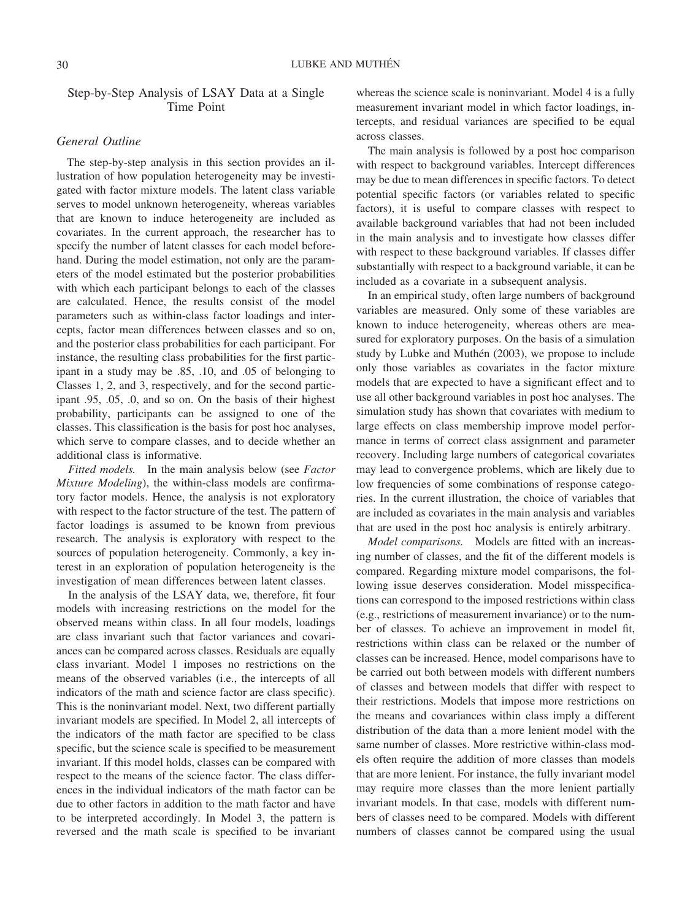Step-by-Step Analysis of LSAY Data at a Single Time Point

# *General Outline*

The step-by-step analysis in this section provides an illustration of how population heterogeneity may be investigated with factor mixture models. The latent class variable serves to model unknown heterogeneity, whereas variables that are known to induce heterogeneity are included as covariates. In the current approach, the researcher has to specify the number of latent classes for each model beforehand. During the model estimation, not only are the parameters of the model estimated but the posterior probabilities with which each participant belongs to each of the classes are calculated. Hence, the results consist of the model parameters such as within-class factor loadings and intercepts, factor mean differences between classes and so on, and the posterior class probabilities for each participant. For instance, the resulting class probabilities for the first participant in a study may be .85, .10, and .05 of belonging to Classes 1, 2, and 3, respectively, and for the second participant .95, .05, .0, and so on. On the basis of their highest probability, participants can be assigned to one of the classes. This classification is the basis for post hoc analyses, which serve to compare classes, and to decide whether an additional class is informative.

*Fitted models.* In the main analysis below (see *Factor Mixture Modeling*), the within-class models are confirmatory factor models. Hence, the analysis is not exploratory with respect to the factor structure of the test. The pattern of factor loadings is assumed to be known from previous research. The analysis is exploratory with respect to the sources of population heterogeneity. Commonly, a key interest in an exploration of population heterogeneity is the investigation of mean differences between latent classes.

In the analysis of the LSAY data, we, therefore, fit four models with increasing restrictions on the model for the observed means within class. In all four models, loadings are class invariant such that factor variances and covariances can be compared across classes. Residuals are equally class invariant. Model 1 imposes no restrictions on the means of the observed variables (i.e., the intercepts of all indicators of the math and science factor are class specific). This is the noninvariant model. Next, two different partially invariant models are specified. In Model 2, all intercepts of the indicators of the math factor are specified to be class specific, but the science scale is specified to be measurement invariant. If this model holds, classes can be compared with respect to the means of the science factor. The class differences in the individual indicators of the math factor can be due to other factors in addition to the math factor and have to be interpreted accordingly. In Model 3, the pattern is reversed and the math scale is specified to be invariant whereas the science scale is noninvariant. Model 4 is a fully measurement invariant model in which factor loadings, intercepts, and residual variances are specified to be equal across classes.

The main analysis is followed by a post hoc comparison with respect to background variables. Intercept differences may be due to mean differences in specific factors. To detect potential specific factors (or variables related to specific factors), it is useful to compare classes with respect to available background variables that had not been included in the main analysis and to investigate how classes differ with respect to these background variables. If classes differ substantially with respect to a background variable, it can be included as a covariate in a subsequent analysis.

In an empirical study, often large numbers of background variables are measured. Only some of these variables are known to induce heterogeneity, whereas others are measured for exploratory purposes. On the basis of a simulation study by Lubke and Muthén (2003), we propose to include only those variables as covariates in the factor mixture models that are expected to have a significant effect and to use all other background variables in post hoc analyses. The simulation study has shown that covariates with medium to large effects on class membership improve model performance in terms of correct class assignment and parameter recovery. Including large numbers of categorical covariates may lead to convergence problems, which are likely due to low frequencies of some combinations of response categories. In the current illustration, the choice of variables that are included as covariates in the main analysis and variables that are used in the post hoc analysis is entirely arbitrary.

*Model comparisons.* Models are fitted with an increasing number of classes, and the fit of the different models is compared. Regarding mixture model comparisons, the following issue deserves consideration. Model misspecifications can correspond to the imposed restrictions within class (e.g., restrictions of measurement invariance) or to the number of classes. To achieve an improvement in model fit, restrictions within class can be relaxed or the number of classes can be increased. Hence, model comparisons have to be carried out both between models with different numbers of classes and between models that differ with respect to their restrictions. Models that impose more restrictions on the means and covariances within class imply a different distribution of the data than a more lenient model with the same number of classes. More restrictive within-class models often require the addition of more classes than models that are more lenient. For instance, the fully invariant model may require more classes than the more lenient partially invariant models. In that case, models with different numbers of classes need to be compared. Models with different numbers of classes cannot be compared using the usual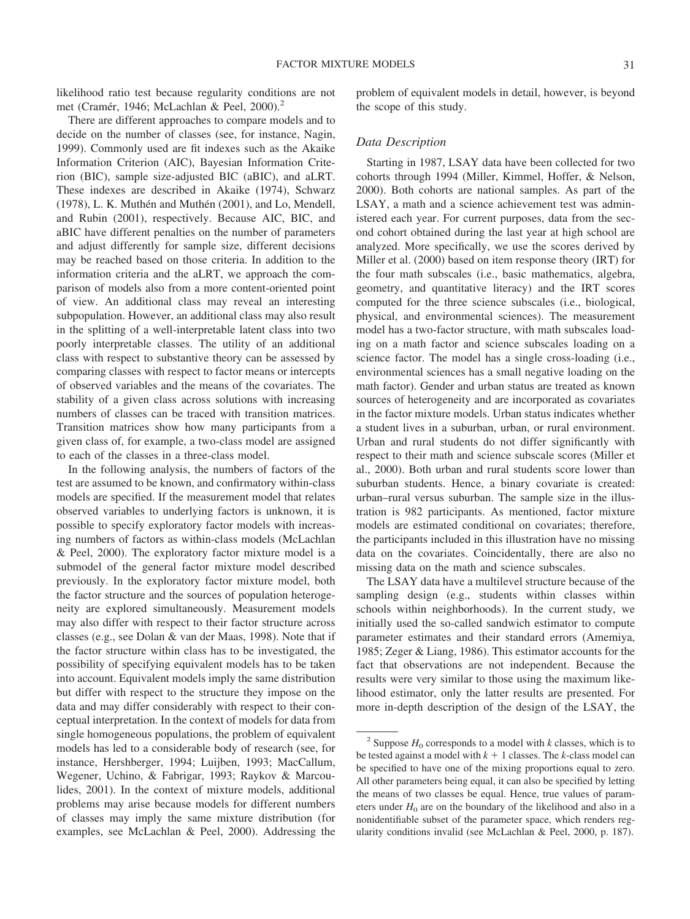likelihood ratio test because regularity conditions are not met (Cramér, 1946; McLachlan & Peel, 2000).<sup>2</sup>

There are different approaches to compare models and to decide on the number of classes (see, for instance, Nagin, 1999). Commonly used are fit indexes such as the Akaike Information Criterion (AIC), Bayesian Information Criterion (BIC), sample size-adjusted BIC (aBIC), and aLRT. These indexes are described in Akaike (1974), Schwarz (1978), L. K. Muthén and Muthén (2001), and Lo, Mendell, and Rubin (2001), respectively. Because AIC, BIC, and aBIC have different penalties on the number of parameters and adjust differently for sample size, different decisions may be reached based on those criteria. In addition to the information criteria and the aLRT, we approach the comparison of models also from a more content-oriented point of view. An additional class may reveal an interesting subpopulation. However, an additional class may also result in the splitting of a well-interpretable latent class into two poorly interpretable classes. The utility of an additional class with respect to substantive theory can be assessed by comparing classes with respect to factor means or intercepts of observed variables and the means of the covariates. The stability of a given class across solutions with increasing numbers of classes can be traced with transition matrices. Transition matrices show how many participants from a given class of, for example, a two-class model are assigned to each of the classes in a three-class model.

In the following analysis, the numbers of factors of the test are assumed to be known, and confirmatory within-class models are specified. If the measurement model that relates observed variables to underlying factors is unknown, it is possible to specify exploratory factor models with increasing numbers of factors as within-class models (McLachlan & Peel, 2000). The exploratory factor mixture model is a submodel of the general factor mixture model described previously. In the exploratory factor mixture model, both the factor structure and the sources of population heterogeneity are explored simultaneously. Measurement models may also differ with respect to their factor structure across classes (e.g., see Dolan & van der Maas, 1998). Note that if the factor structure within class has to be investigated, the possibility of specifying equivalent models has to be taken into account. Equivalent models imply the same distribution but differ with respect to the structure they impose on the data and may differ considerably with respect to their conceptual interpretation. In the context of models for data from single homogeneous populations, the problem of equivalent models has led to a considerable body of research (see, for instance, Hershberger, 1994; Luijben, 1993; MacCallum, Wegener, Uchino, & Fabrigar, 1993; Raykov & Marcoulides, 2001). In the context of mixture models, additional problems may arise because models for different numbers of classes may imply the same mixture distribution (for examples, see McLachlan & Peel, 2000). Addressing the

problem of equivalent models in detail, however, is beyond the scope of this study.

## *Data Description*

Starting in 1987, LSAY data have been collected for two cohorts through 1994 (Miller, Kimmel, Hoffer, & Nelson, 2000). Both cohorts are national samples. As part of the LSAY, a math and a science achievement test was administered each year. For current purposes, data from the second cohort obtained during the last year at high school are analyzed. More specifically, we use the scores derived by Miller et al. (2000) based on item response theory (IRT) for the four math subscales (i.e., basic mathematics, algebra, geometry, and quantitative literacy) and the IRT scores computed for the three science subscales (i.e., biological, physical, and environmental sciences). The measurement model has a two-factor structure, with math subscales loading on a math factor and science subscales loading on a science factor. The model has a single cross-loading (i.e., environmental sciences has a small negative loading on the math factor). Gender and urban status are treated as known sources of heterogeneity and are incorporated as covariates in the factor mixture models. Urban status indicates whether a student lives in a suburban, urban, or rural environment. Urban and rural students do not differ significantly with respect to their math and science subscale scores (Miller et al., 2000). Both urban and rural students score lower than suburban students. Hence, a binary covariate is created: urban–rural versus suburban. The sample size in the illustration is 982 participants. As mentioned, factor mixture models are estimated conditional on covariates; therefore, the participants included in this illustration have no missing data on the covariates. Coincidentally, there are also no missing data on the math and science subscales.

The LSAY data have a multilevel structure because of the sampling design (e.g., students within classes within schools within neighborhoods). In the current study, we initially used the so-called sandwich estimator to compute parameter estimates and their standard errors (Amemiya, 1985; Zeger & Liang, 1986). This estimator accounts for the fact that observations are not independent. Because the results were very similar to those using the maximum likelihood estimator, only the latter results are presented. For more in-depth description of the design of the LSAY, the

<sup>&</sup>lt;sup>2</sup> Suppose  $H_0$  corresponds to a model with *k* classes, which is to be tested against a model with  $k + 1$  classes. The *k*-class model can be specified to have one of the mixing proportions equal to zero. All other parameters being equal, it can also be specified by letting the means of two classes be equal. Hence, true values of parameters under  $H_0$  are on the boundary of the likelihood and also in a nonidentifiable subset of the parameter space, which renders regularity conditions invalid (see McLachlan & Peel, 2000, p. 187).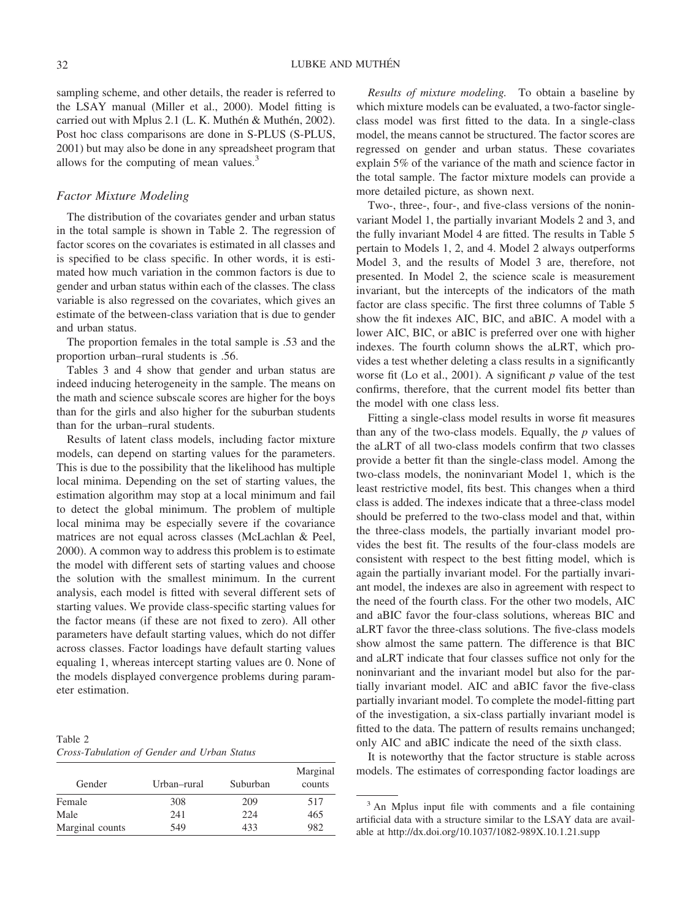sampling scheme, and other details, the reader is referred to the LSAY manual (Miller et al., 2000). Model fitting is carried out with Mplus 2.1 (L. K. Muthén & Muthén, 2002). Post hoc class comparisons are done in S-PLUS (S-PLUS, 2001) but may also be done in any spreadsheet program that allows for the computing of mean values.<sup>3</sup>

#### *Factor Mixture Modeling*

The distribution of the covariates gender and urban status in the total sample is shown in Table 2. The regression of factor scores on the covariates is estimated in all classes and is specified to be class specific. In other words, it is estimated how much variation in the common factors is due to gender and urban status within each of the classes. The class variable is also regressed on the covariates, which gives an estimate of the between-class variation that is due to gender and urban status.

The proportion females in the total sample is .53 and the proportion urban–rural students is .56.

Tables 3 and 4 show that gender and urban status are indeed inducing heterogeneity in the sample. The means on the math and science subscale scores are higher for the boys than for the girls and also higher for the suburban students than for the urban–rural students.

Results of latent class models, including factor mixture models, can depend on starting values for the parameters. This is due to the possibility that the likelihood has multiple local minima. Depending on the set of starting values, the estimation algorithm may stop at a local minimum and fail to detect the global minimum. The problem of multiple local minima may be especially severe if the covariance matrices are not equal across classes (McLachlan & Peel, 2000). A common way to address this problem is to estimate the model with different sets of starting values and choose the solution with the smallest minimum. In the current analysis, each model is fitted with several different sets of starting values. We provide class-specific starting values for the factor means (if these are not fixed to zero). All other parameters have default starting values, which do not differ across classes. Factor loadings have default starting values equaling 1, whereas intercept starting values are 0. None of the models displayed convergence problems during parameter estimation.

Table 2 *Cross-Tabulation of Gender and Urban Status*

| Gender          | Urban–rural | Suburban | Marginal<br>counts |
|-----------------|-------------|----------|--------------------|
| Female          | 308         | 209      | 517                |
| Male            | 241         | 224      | 465                |
| Marginal counts | 549         | 433      | 982                |

*Results of mixture modeling.* To obtain a baseline by which mixture models can be evaluated, a two-factor singleclass model was first fitted to the data. In a single-class model, the means cannot be structured. The factor scores are regressed on gender and urban status. These covariates explain 5% of the variance of the math and science factor in the total sample. The factor mixture models can provide a more detailed picture, as shown next.

Two-, three-, four-, and five-class versions of the noninvariant Model 1, the partially invariant Models 2 and 3, and the fully invariant Model 4 are fitted. The results in Table 5 pertain to Models 1, 2, and 4. Model 2 always outperforms Model 3, and the results of Model 3 are, therefore, not presented. In Model 2, the science scale is measurement invariant, but the intercepts of the indicators of the math factor are class specific. The first three columns of Table 5 show the fit indexes AIC, BIC, and aBIC. A model with a lower AIC, BIC, or aBIC is preferred over one with higher indexes. The fourth column shows the aLRT, which provides a test whether deleting a class results in a significantly worse fit (Lo et al., 2001). A significant *p* value of the test confirms, therefore, that the current model fits better than the model with one class less.

Fitting a single-class model results in worse fit measures than any of the two-class models. Equally, the *p* values of the aLRT of all two-class models confirm that two classes provide a better fit than the single-class model. Among the two-class models, the noninvariant Model 1, which is the least restrictive model, fits best. This changes when a third class is added. The indexes indicate that a three-class model should be preferred to the two-class model and that, within the three-class models, the partially invariant model provides the best fit. The results of the four-class models are consistent with respect to the best fitting model, which is again the partially invariant model. For the partially invariant model, the indexes are also in agreement with respect to the need of the fourth class. For the other two models, AIC and aBIC favor the four-class solutions, whereas BIC and aLRT favor the three-class solutions. The five-class models show almost the same pattern. The difference is that BIC and aLRT indicate that four classes suffice not only for the noninvariant and the invariant model but also for the partially invariant model. AIC and aBIC favor the five-class partially invariant model. To complete the model-fitting part of the investigation, a six-class partially invariant model is fitted to the data. The pattern of results remains unchanged; only AIC and aBIC indicate the need of the sixth class.

It is noteworthy that the factor structure is stable across models. The estimates of corresponding factor loadings are

<sup>&</sup>lt;sup>3</sup> An Mplus input file with comments and a file containing artificial data with a structure similar to the LSAY data are available at http://dx.doi.org/10.1037/1082-989X.10.1.21.supp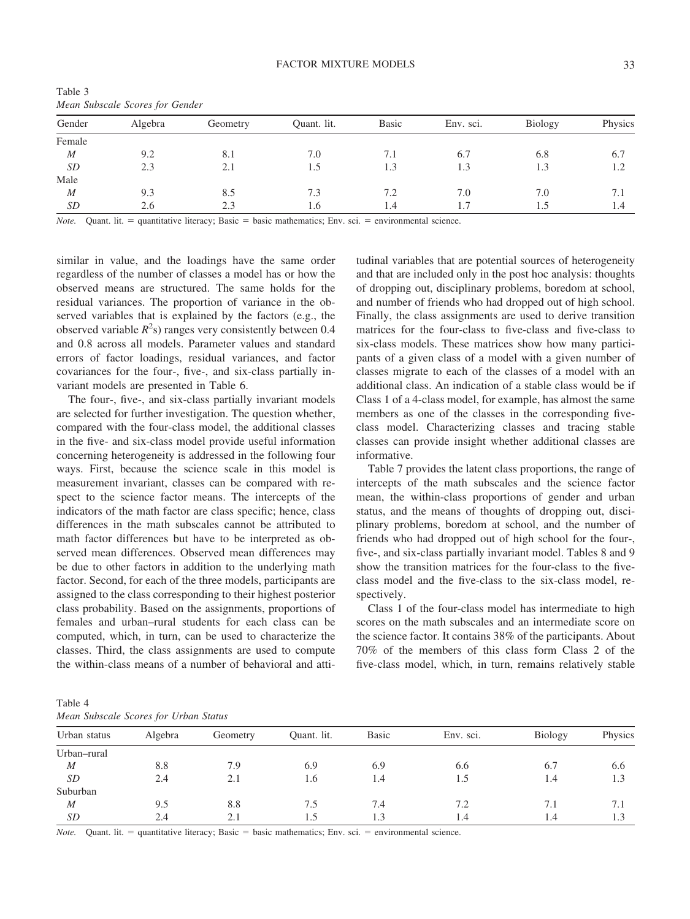| Gender           | Algebra | Geometry | Quant. lit. | Basic | Env. sci. | <b>Biology</b> | Physics                         |  |  |  |  |  |
|------------------|---------|----------|-------------|-------|-----------|----------------|---------------------------------|--|--|--|--|--|
| Female           |         |          |             |       |           |                |                                 |  |  |  |  |  |
| $\boldsymbol{M}$ | 9.2     | 8.1      | 7.0         | 7.1   | 6.7       | 6.8            | 6.7                             |  |  |  |  |  |
| SD               | 2.3     | 2.1      | 1.5         | 1.3   | 1.3       | 1.3            | $\overline{1}$ . $\overline{2}$ |  |  |  |  |  |
| Male             |         |          |             |       |           |                |                                 |  |  |  |  |  |
| $\boldsymbol{M}$ | 9.3     | 8.5      | 7.3         | 7.2   | 7.0       | 7.0            | 7.1                             |  |  |  |  |  |
| SD               | 2.6     | 2.3      | 1.6         | 1.4   |           |                | 1.4                             |  |  |  |  |  |
|                  |         |          |             |       |           |                |                                 |  |  |  |  |  |

Table 3 *Mean Subscale Scores for Gender*

*Note.* Quant. lit.  $=$  quantitative literacy; Basic  $=$  basic mathematics; Env. sci.  $=$  environmental science.

similar in value, and the loadings have the same order regardless of the number of classes a model has or how the observed means are structured. The same holds for the residual variances. The proportion of variance in the observed variables that is explained by the factors (e.g., the observed variable  $R^2$ s) ranges very consistently between 0.4 and 0.8 across all models. Parameter values and standard errors of factor loadings, residual variances, and factor covariances for the four-, five-, and six-class partially invariant models are presented in Table 6.

The four-, five-, and six-class partially invariant models are selected for further investigation. The question whether, compared with the four-class model, the additional classes in the five- and six-class model provide useful information concerning heterogeneity is addressed in the following four ways. First, because the science scale in this model is measurement invariant, classes can be compared with respect to the science factor means. The intercepts of the indicators of the math factor are class specific; hence, class differences in the math subscales cannot be attributed to math factor differences but have to be interpreted as observed mean differences. Observed mean differences may be due to other factors in addition to the underlying math factor. Second, for each of the three models, participants are assigned to the class corresponding to their highest posterior class probability. Based on the assignments, proportions of females and urban–rural students for each class can be computed, which, in turn, can be used to characterize the classes. Third, the class assignments are used to compute the within-class means of a number of behavioral and attitudinal variables that are potential sources of heterogeneity and that are included only in the post hoc analysis: thoughts of dropping out, disciplinary problems, boredom at school, and number of friends who had dropped out of high school. Finally, the class assignments are used to derive transition matrices for the four-class to five-class and five-class to six-class models. These matrices show how many participants of a given class of a model with a given number of classes migrate to each of the classes of a model with an additional class. An indication of a stable class would be if Class 1 of a 4-class model, for example, has almost the same members as one of the classes in the corresponding fiveclass model. Characterizing classes and tracing stable classes can provide insight whether additional classes are informative.

Table 7 provides the latent class proportions, the range of intercepts of the math subscales and the science factor mean, the within-class proportions of gender and urban status, and the means of thoughts of dropping out, disciplinary problems, boredom at school, and the number of friends who had dropped out of high school for the four-, five-, and six-class partially invariant model. Tables 8 and 9 show the transition matrices for the four-class to the fiveclass model and the five-class to the six-class model, respectively.

Class 1 of the four-class model has intermediate to high scores on the math subscales and an intermediate score on the science factor. It contains 38% of the participants. About 70% of the members of this class form Class 2 of the five-class model, which, in turn, remains relatively stable

Table 4 *Mean Subscale Scores for Urban Status*

|              | <i>ricent</i> bubbeene beered for crown bienes |          |             |              |           |            |         |  |  |  |  |
|--------------|------------------------------------------------|----------|-------------|--------------|-----------|------------|---------|--|--|--|--|
| Urban status | Algebra                                        | Geometry | Quant. lit. | <b>Basic</b> | Env. sci. | Biology    | Physics |  |  |  |  |
| Urban-rural  |                                                |          |             |              |           |            |         |  |  |  |  |
| M            | 8.8                                            | 7.9      | 6.9         | 6.9          | 6.6       | 6.7        | 6.6     |  |  |  |  |
| SD           | 2.4                                            | 2.1      | 1.6         | 1.4          | 1.5       | 1.4        |         |  |  |  |  |
| Suburban     |                                                |          |             |              |           |            |         |  |  |  |  |
| M            | 9.5                                            | 8.8      | 7.5         | 7.4          | 7.2       | 7.1        |         |  |  |  |  |
| SD           | 2.4                                            |          |             | 1.3          | 1.4       | $\cdot$ .4 |         |  |  |  |  |

*Note.* Quant. lit.  $=$  quantitative literacy; Basic  $=$  basic mathematics; Env. sci.  $=$  environmental science.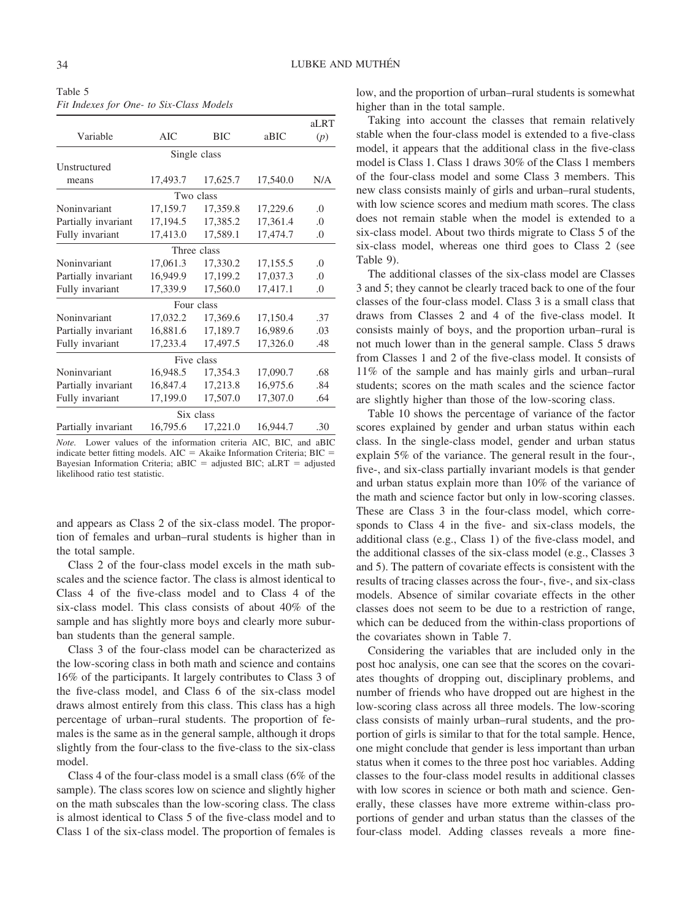Table 5 *Fit Indexes for One- to Six-Class Models*

|                     |          |              |          | aLRT     |
|---------------------|----------|--------------|----------|----------|
| Variable            | AIC      | <b>BIC</b>   | aBIC     | (p)      |
|                     |          | Single class |          |          |
| Unstructured        |          |              |          |          |
| means               | 17,493.7 | 17,625.7     | 17,540.0 | N/A      |
|                     |          | Two class    |          |          |
| Noninvariant        | 17,159.7 | 17,359.8     | 17,229.6 | .0       |
| Partially invariant | 17,194.5 | 17,385.2     | 17,361.4 | $\Omega$ |
| Fully invariant     | 17,413.0 | 17,589.1     | 17,474.7 | .0       |
|                     |          | Three class  |          |          |
| Noninvariant        | 17,061.3 | 17,330.2     | 17,155.5 | $\Omega$ |
| Partially invariant | 16,949.9 | 17,199.2     | 17,037.3 | .0       |
| Fully invariant     | 17,339.9 | 17,560.0     | 17,417.1 | .0       |
|                     |          | Four class   |          |          |
| Noninvariant        | 17,032.2 | 17,369.6     | 17,150.4 | .37      |
| Partially invariant | 16,881.6 | 17,189.7     | 16,989.6 | .03      |
| Fully invariant     | 17,233.4 | 17,497.5     | 17,326.0 | .48      |
|                     |          | Five class   |          |          |
| Noninvariant        | 16,948.5 | 17,354.3     | 17,090.7 | .68      |
| Partially invariant | 16,847.4 | 17,213.8     | 16,975.6 | .84      |
| Fully invariant     | 17,199.0 | 17,507.0     | 17,307.0 | .64      |
|                     |          | Six class    |          |          |
| Partially invariant | 16,795.6 | 17,221.0     | 16,944.7 | .30      |

*Note.* Lower values of the information criteria AIC, BIC, and aBIC indicate better fitting models.  $AIC = Akaike$  Information Criteria;  $BIC =$ Bayesian Information Criteria; aBIC = adjusted BIC; aLRT = adjusted likelihood ratio test statistic.

and appears as Class 2 of the six-class model. The proportion of females and urban–rural students is higher than in the total sample.

Class 2 of the four-class model excels in the math subscales and the science factor. The class is almost identical to Class 4 of the five-class model and to Class 4 of the six-class model. This class consists of about 40% of the sample and has slightly more boys and clearly more suburban students than the general sample.

Class 3 of the four-class model can be characterized as the low-scoring class in both math and science and contains 16% of the participants. It largely contributes to Class 3 of the five-class model, and Class 6 of the six-class model draws almost entirely from this class. This class has a high percentage of urban–rural students. The proportion of females is the same as in the general sample, although it drops slightly from the four-class to the five-class to the six-class model.

Class 4 of the four-class model is a small class (6% of the sample). The class scores low on science and slightly higher on the math subscales than the low-scoring class. The class is almost identical to Class 5 of the five-class model and to Class 1 of the six-class model. The proportion of females is low, and the proportion of urban–rural students is somewhat higher than in the total sample.

Taking into account the classes that remain relatively stable when the four-class model is extended to a five-class model, it appears that the additional class in the five-class model is Class 1. Class 1 draws 30% of the Class 1 members of the four-class model and some Class 3 members. This new class consists mainly of girls and urban–rural students, with low science scores and medium math scores. The class does not remain stable when the model is extended to a six-class model. About two thirds migrate to Class 5 of the six-class model, whereas one third goes to Class 2 (see Table 9).

The additional classes of the six-class model are Classes 3 and 5; they cannot be clearly traced back to one of the four classes of the four-class model. Class 3 is a small class that draws from Classes 2 and 4 of the five-class model. It consists mainly of boys, and the proportion urban–rural is not much lower than in the general sample. Class 5 draws from Classes 1 and 2 of the five-class model. It consists of 11% of the sample and has mainly girls and urban–rural students; scores on the math scales and the science factor are slightly higher than those of the low-scoring class.

Table 10 shows the percentage of variance of the factor scores explained by gender and urban status within each class. In the single-class model, gender and urban status explain 5% of the variance. The general result in the four-, five-, and six-class partially invariant models is that gender and urban status explain more than 10% of the variance of the math and science factor but only in low-scoring classes. These are Class 3 in the four-class model, which corresponds to Class 4 in the five- and six-class models, the additional class (e.g., Class 1) of the five-class model, and the additional classes of the six-class model (e.g., Classes 3 and 5). The pattern of covariate effects is consistent with the results of tracing classes across the four-, five-, and six-class models. Absence of similar covariate effects in the other classes does not seem to be due to a restriction of range, which can be deduced from the within-class proportions of the covariates shown in Table 7.

Considering the variables that are included only in the post hoc analysis, one can see that the scores on the covariates thoughts of dropping out, disciplinary problems, and number of friends who have dropped out are highest in the low-scoring class across all three models. The low-scoring class consists of mainly urban–rural students, and the proportion of girls is similar to that for the total sample. Hence, one might conclude that gender is less important than urban status when it comes to the three post hoc variables. Adding classes to the four-class model results in additional classes with low scores in science or both math and science. Generally, these classes have more extreme within-class proportions of gender and urban status than the classes of the four-class model. Adding classes reveals a more fine-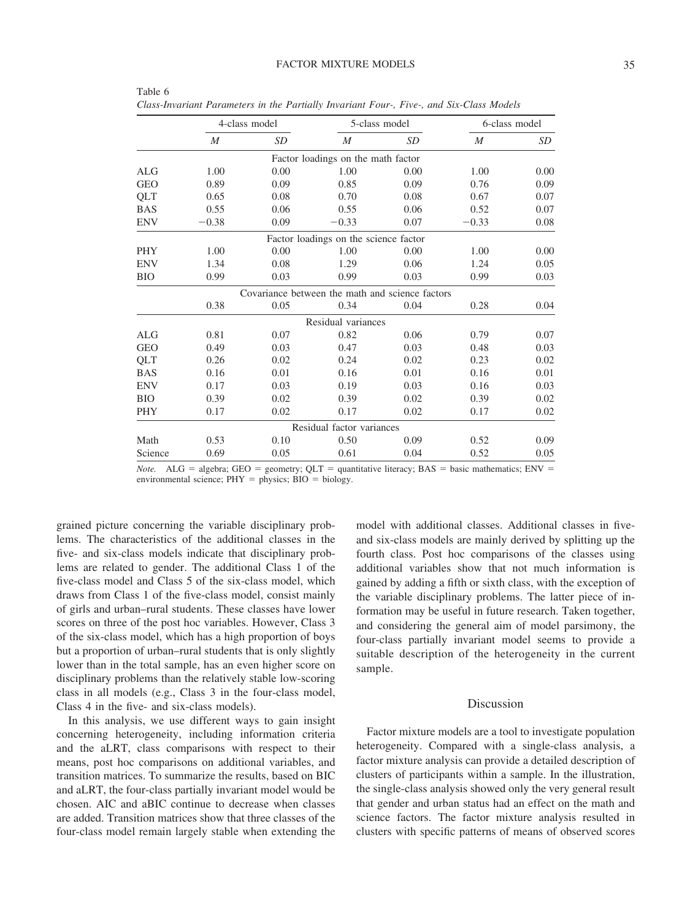|            |                  | 4-class model                                   |                                       | 5-class model | 6-class model    |      |
|------------|------------------|-------------------------------------------------|---------------------------------------|---------------|------------------|------|
|            | $\boldsymbol{M}$ | SD                                              | $\boldsymbol{M}$                      | SD            | $\boldsymbol{M}$ | SD   |
|            |                  |                                                 | Factor loadings on the math factor    |               |                  |      |
| ALG        | 1.00             | 0.00                                            | 1.00                                  | 0.00          | 1.00             | 0.00 |
| <b>GEO</b> | 0.89             | 0.09                                            | 0.85                                  | 0.09          | 0.76             | 0.09 |
| QLT        | 0.65             | 0.08                                            | 0.70                                  | 0.08          | 0.67             | 0.07 |
| <b>BAS</b> | 0.55             | 0.06                                            | 0.55                                  | 0.06          | 0.52             | 0.07 |
| ENV        | $-0.38$          | 0.09                                            | $-0.33$                               | 0.07          | $-0.33$          | 0.08 |
|            |                  |                                                 | Factor loadings on the science factor |               |                  |      |
| PHY        | 1.00             | 0.00                                            | 1.00                                  | 0.00          | 1.00             | 0.00 |
| ENV        | 1.34             | 0.08                                            | 1.29                                  | 0.06          | 1.24             | 0.05 |
| BЮ         | 0.99             | 0.03                                            | 0.99                                  | 0.03          | 0.99             | 0.03 |
|            |                  | Covariance between the math and science factors |                                       |               |                  |      |
|            | 0.38             | 0.05                                            | 0.34                                  | 0.04          | 0.28             | 0.04 |
|            |                  |                                                 | Residual variances                    |               |                  |      |
| ALG        | 0.81             | 0.07                                            | 0.82                                  | 0.06          | 0.79             | 0.07 |
| GEO        | 0.49             | 0.03                                            | 0.47                                  | 0.03          | 0.48             | 0.03 |
| QLT        | 0.26             | 0.02                                            | 0.24                                  | 0.02          | 0.23             | 0.02 |
| <b>BAS</b> | 0.16             | 0.01                                            | 0.16                                  | 0.01          | 0.16             | 0.01 |
| ENV        | 0.17             | 0.03                                            | 0.19                                  | 0.03          | 0.16             | 0.03 |
| ВЮ         | 0.39             | 0.02                                            | 0.39                                  | 0.02          | 0.39             | 0.02 |
| PHY        | 0.17             | 0.02                                            | 0.17                                  | 0.02          | 0.17             | 0.02 |
|            |                  |                                                 | Residual factor variances             |               |                  |      |
| Math       | 0.53             | 0.10                                            | 0.50                                  | 0.09          | 0.52             | 0.09 |
| Science    | 0.69             | 0.05                                            | 0.61                                  | 0.04          | 0.52             | 0.05 |
|            |                  |                                                 |                                       |               |                  |      |

| Table 6                                                                                  |  |  |  |  |  |
|------------------------------------------------------------------------------------------|--|--|--|--|--|
| Class-Invariant Parameters in the Partially Invariant Four-, Five-, and Six-Class Models |  |  |  |  |  |

*Note.* ALG = algebra; GEO = geometry; QLT = quantitative literacy; BAS = basic mathematics; ENV = environmental science;  $PHY =$  physics;  $BIO =$  biology.

grained picture concerning the variable disciplinary problems. The characteristics of the additional classes in the five- and six-class models indicate that disciplinary problems are related to gender. The additional Class 1 of the five-class model and Class 5 of the six-class model, which draws from Class 1 of the five-class model, consist mainly of girls and urban–rural students. These classes have lower scores on three of the post hoc variables. However, Class 3 of the six-class model, which has a high proportion of boys but a proportion of urban–rural students that is only slightly lower than in the total sample, has an even higher score on disciplinary problems than the relatively stable low-scoring class in all models (e.g., Class 3 in the four-class model, Class 4 in the five- and six-class models).

In this analysis, we use different ways to gain insight concerning heterogeneity, including information criteria and the aLRT, class comparisons with respect to their means, post hoc comparisons on additional variables, and transition matrices. To summarize the results, based on BIC and aLRT, the four-class partially invariant model would be chosen. AIC and aBIC continue to decrease when classes are added. Transition matrices show that three classes of the four-class model remain largely stable when extending the model with additional classes. Additional classes in fiveand six-class models are mainly derived by splitting up the fourth class. Post hoc comparisons of the classes using additional variables show that not much information is gained by adding a fifth or sixth class, with the exception of the variable disciplinary problems. The latter piece of information may be useful in future research. Taken together, and considering the general aim of model parsimony, the four-class partially invariant model seems to provide a suitable description of the heterogeneity in the current sample.

### Discussion

Factor mixture models are a tool to investigate population heterogeneity. Compared with a single-class analysis, a factor mixture analysis can provide a detailed description of clusters of participants within a sample. In the illustration, the single-class analysis showed only the very general result that gender and urban status had an effect on the math and science factors. The factor mixture analysis resulted in clusters with specific patterns of means of observed scores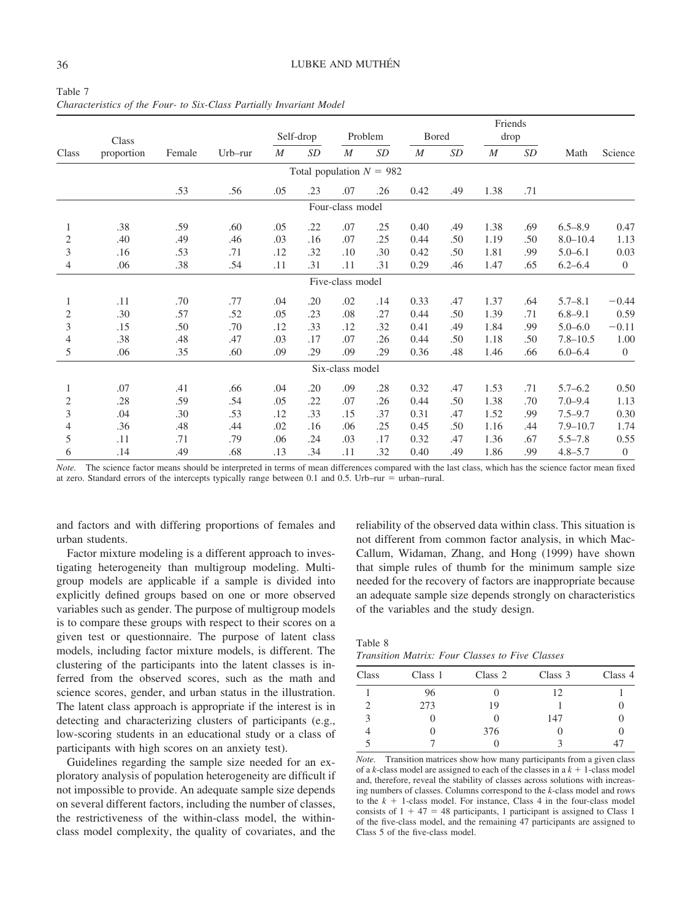|                |            |        |            |                  |                            |                  |                   |              |     | Friends          |     |              |                  |
|----------------|------------|--------|------------|------------------|----------------------------|------------------|-------------------|--------------|-----|------------------|-----|--------------|------------------|
|                | Class      |        |            |                  | Self-drop                  |                  | Problem           | <b>Bored</b> |     | drop             |     |              |                  |
| Class          | proportion | Female | $Urb$ -rur | $\boldsymbol{M}$ | SD                         | M                | $\boldsymbol{SD}$ | M            | SD  | $\boldsymbol{M}$ | SD  | Math         | Science          |
|                |            |        |            |                  | Total population $N = 982$ |                  |                   |              |     |                  |     |              |                  |
|                |            | .53    | .56        | .05              | .23                        | .07              | .26               | 0.42         | .49 | 1.38             | .71 |              |                  |
|                |            |        |            |                  |                            | Four-class model |                   |              |     |                  |     |              |                  |
| 1              | .38        | .59    | .60        | .05              | .22                        | .07              | .25               | 0.40         | .49 | 1.38             | .69 | $6.5 - 8.9$  | 0.47             |
| 2              | .40        | .49    | .46        | .03              | .16                        | .07              | .25               | 0.44         | .50 | 1.19             | .50 | $8.0 - 10.4$ | 1.13             |
| 3              | .16        | .53    | .71        | .12              | .32                        | .10              | .30               | 0.42         | .50 | 1.81             | .99 | $5.0 - 6.1$  | 0.03             |
| 4              | .06        | .38    | .54        | .11              | .31                        | .11              | .31               | 0.29         | .46 | 1.47             | .65 | $6.2 - 6.4$  | $\overline{0}$   |
|                |            |        |            |                  |                            | Five-class model |                   |              |     |                  |     |              |                  |
| 1              | .11        | .70    | .77        | .04              | .20                        | .02              | .14               | 0.33         | .47 | 1.37             | .64 | $5.7 - 8.1$  | $-0.44$          |
| 2              | .30        | .57    | .52        | .05              | .23                        | .08              | .27               | 0.44         | .50 | 1.39             | .71 | $6.8 - 9.1$  | 0.59             |
| 3              | .15        | .50    | .70        | .12              | .33                        | .12              | .32               | 0.41         | .49 | 1.84             | .99 | $5.0 - 6.0$  | $-0.11$          |
| $\overline{4}$ | .38        | .48    | .47        | .03              | .17                        | .07              | .26               | 0.44         | .50 | 1.18             | .50 | $7.8 - 10.5$ | 1.00             |
| 5              | .06        | .35    | .60        | .09              | .29                        | .09              | .29               | 0.36         | .48 | 1.46             | .66 | $6.0 - 6.4$  | $\theta$         |
|                |            |        |            |                  |                            | Six-class model  |                   |              |     |                  |     |              |                  |
| 1              | .07        | .41    | .66        | .04              | .20                        | .09              | .28               | 0.32         | .47 | 1.53             | .71 | $5.7 - 6.2$  | 0.50             |
| 2              | .28        | .59    | .54        | .05              | .22                        | .07              | .26               | 0.44         | .50 | 1.38             | .70 | $7.0 - 9.4$  | 1.13             |
| 3              | .04        | .30    | .53        | .12              | .33                        | .15              | .37               | 0.31         | .47 | 1.52             | .99 | $7.5 - 9.7$  | 0.30             |
| 4              | .36        | .48    | .44        | .02              | .16                        | .06              | .25               | 0.45         | .50 | 1.16             | .44 | $7.9 - 10.7$ | 1.74             |
| 5              | .11        | .71    | .79        | .06              | .24                        | .03              | .17               | 0.32         | .47 | 1.36             | .67 | $5.5 - 7.8$  | 0.55             |
| 6              | .14        | .49    | .68        | .13              | .34                        | .11              | .32               | 0.40         | .49 | 1.86             | .99 | $4.8 - 5.7$  | $\boldsymbol{0}$ |

Table 7 *Characteristics of the Four- to Six-Class Partially Invariant Model*

*Note.* The science factor means should be interpreted in terms of mean differences compared with the last class, which has the science factor mean fixed at zero. Standard errors of the intercepts typically range between 0.1 and 0.5. Urb–rur  $=$  urban–rural.

and factors and with differing proportions of females and urban students.

Factor mixture modeling is a different approach to investigating heterogeneity than multigroup modeling. Multigroup models are applicable if a sample is divided into explicitly defined groups based on one or more observed variables such as gender. The purpose of multigroup models is to compare these groups with respect to their scores on a given test or questionnaire. The purpose of latent class models, including factor mixture models, is different. The clustering of the participants into the latent classes is inferred from the observed scores, such as the math and science scores, gender, and urban status in the illustration. The latent class approach is appropriate if the interest is in detecting and characterizing clusters of participants (e.g., low-scoring students in an educational study or a class of participants with high scores on an anxiety test).

Guidelines regarding the sample size needed for an exploratory analysis of population heterogeneity are difficult if not impossible to provide. An adequate sample size depends on several different factors, including the number of classes, the restrictiveness of the within-class model, the withinclass model complexity, the quality of covariates, and the

reliability of the observed data within class. This situation is not different from common factor analysis, in which Mac-Callum, Widaman, Zhang, and Hong (1999) have shown that simple rules of thumb for the minimum sample size needed for the recovery of factors are inappropriate because an adequate sample size depends strongly on characteristics of the variables and the study design.

Table 8 *Transition Matrix: Four Classes to Five Classes*

| Class | Class 1 | Class 2 | Class 3 | Class 4 |
|-------|---------|---------|---------|---------|
|       | 96      |         | 12      |         |
|       | 273     | 19      |         |         |
|       |         |         | 147     |         |
|       |         | 376     |         |         |
|       |         |         |         |         |

*Note.* Transition matrices show how many participants from a given class of a *k*-class model are assigned to each of the classes in a  $k + 1$ -class model and, therefore, reveal the stability of classes across solutions with increasing numbers of classes. Columns correspond to the *k*-class model and rows to the  $k + 1$ -class model. For instance, Class 4 in the four-class model consists of  $1 + 47 = 48$  participants, 1 participant is assigned to Class 1 of the five-class model, and the remaining 47 participants are assigned to Class 5 of the five-class model.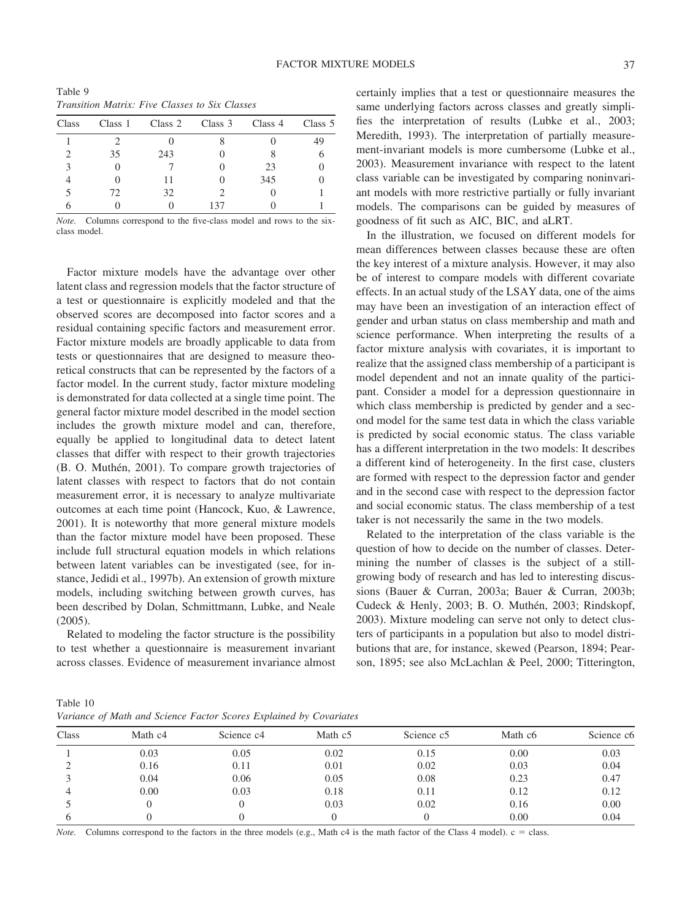| <i>Transition Matrix: Five Classes to Six Classes</i> |    |                                 |  |     |         |  |  |  |  |
|-------------------------------------------------------|----|---------------------------------|--|-----|---------|--|--|--|--|
| <b>Class</b>                                          |    | Class 1 Class 2 Class 3 Class 4 |  |     | Class 5 |  |  |  |  |
|                                                       |    |                                 |  |     | 49      |  |  |  |  |
|                                                       | 35 | 243                             |  |     |         |  |  |  |  |
|                                                       |    |                                 |  | 23  |         |  |  |  |  |
|                                                       |    | 11                              |  | 345 |         |  |  |  |  |
|                                                       |    | 32                              |  |     |         |  |  |  |  |

Table 9 *Transition Matrix: Five Classes to Six Classes*

6 0 0 137 0 1 *Note.* Columns correspond to the five-class model and rows to the sixclass model.

Factor mixture models have the advantage over other latent class and regression models that the factor structure of a test or questionnaire is explicitly modeled and that the observed scores are decomposed into factor scores and a residual containing specific factors and measurement error. Factor mixture models are broadly applicable to data from tests or questionnaires that are designed to measure theoretical constructs that can be represented by the factors of a factor model. In the current study, factor mixture modeling is demonstrated for data collected at a single time point. The general factor mixture model described in the model section includes the growth mixture model and can, therefore, equally be applied to longitudinal data to detect latent classes that differ with respect to their growth trajectories (B. O. Muthén, 2001). To compare growth trajectories of latent classes with respect to factors that do not contain measurement error, it is necessary to analyze multivariate outcomes at each time point (Hancock, Kuo, & Lawrence, 2001). It is noteworthy that more general mixture models than the factor mixture model have been proposed. These include full structural equation models in which relations between latent variables can be investigated (see, for instance, Jedidi et al., 1997b). An extension of growth mixture models, including switching between growth curves, has been described by Dolan, Schmittmann, Lubke, and Neale (2005).

Related to modeling the factor structure is the possibility to test whether a questionnaire is measurement invariant across classes. Evidence of measurement invariance almost

certainly implies that a test or questionnaire measures the same underlying factors across classes and greatly simplifies the interpretation of results (Lubke et al., 2003; Meredith, 1993). The interpretation of partially measurement-invariant models is more cumbersome (Lubke et al., 2003). Measurement invariance with respect to the latent class variable can be investigated by comparing noninvariant models with more restrictive partially or fully invariant models. The comparisons can be guided by measures of goodness of fit such as AIC, BIC, and aLRT.

In the illustration, we focused on different models for mean differences between classes because these are often the key interest of a mixture analysis. However, it may also be of interest to compare models with different covariate effects. In an actual study of the LSAY data, one of the aims may have been an investigation of an interaction effect of gender and urban status on class membership and math and science performance. When interpreting the results of a factor mixture analysis with covariates, it is important to realize that the assigned class membership of a participant is model dependent and not an innate quality of the participant. Consider a model for a depression questionnaire in which class membership is predicted by gender and a second model for the same test data in which the class variable is predicted by social economic status. The class variable has a different interpretation in the two models: It describes a different kind of heterogeneity. In the first case, clusters are formed with respect to the depression factor and gender and in the second case with respect to the depression factor and social economic status. The class membership of a test taker is not necessarily the same in the two models.

Related to the interpretation of the class variable is the question of how to decide on the number of classes. Determining the number of classes is the subject of a stillgrowing body of research and has led to interesting discussions (Bauer & Curran, 2003a; Bauer & Curran, 2003b; Cudeck & Henly, 2003; B. O. Muthén, 2003; Rindskopf, 2003). Mixture modeling can serve not only to detect clusters of participants in a population but also to model distributions that are, for instance, skewed (Pearson, 1894; Pearson, 1895; see also McLachlan & Peel, 2000; Titterington,

Table 10 *Variance of Math and Science Factor Scores Explained by Covariates*

| Class | Math c4 | Science c <sub>4</sub> | Math c <sub>5</sub> | Science c <sub>5</sub> | Math c6 | Science c6 |
|-------|---------|------------------------|---------------------|------------------------|---------|------------|
|       | 0.03    | 0.05                   | 0.02                | 0.15                   | 0.00    | 0.03       |
|       | 0.16    | 0.11                   | 0.01                | 0.02                   | 0.03    | 0.04       |
|       | 0.04    | 0.06                   | 0.05                | 0.08                   | 0.23    | 0.47       |
|       | 0.00    | 0.03                   | 0.18                | 0.11                   | 0.12    | 0.12       |
|       |         |                        | 0.03                | 0.02                   | 0.16    | 0.00       |
|       |         |                        |                     |                        | 0.00    | 0.04       |

*Note.* Columns correspond to the factors in the three models (e.g., Math  $c4$  is the math factor of the Class 4 model).  $c =$  class.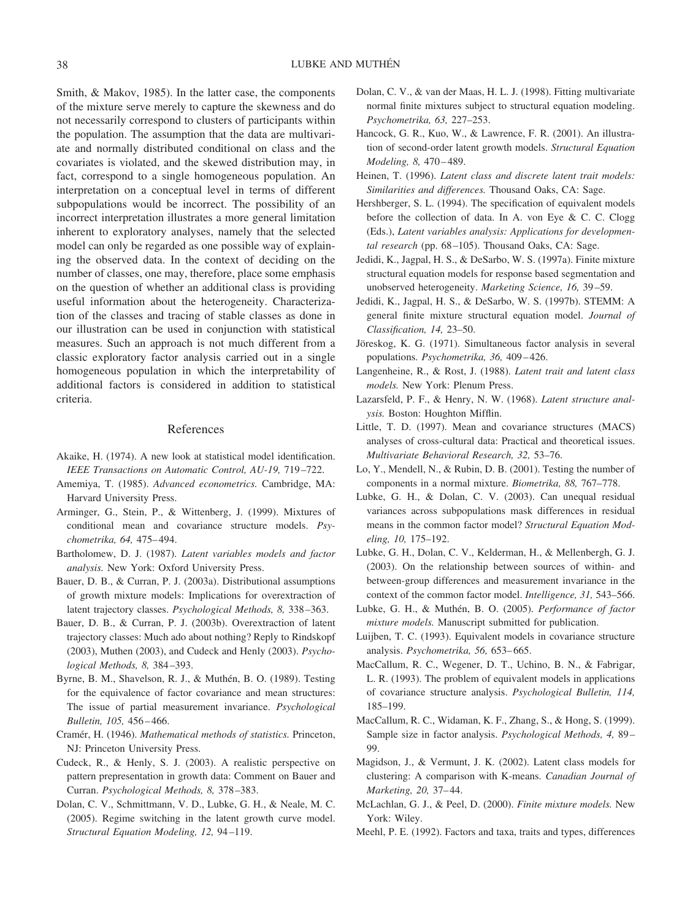Smith, & Makov, 1985). In the latter case, the components of the mixture serve merely to capture the skewness and do not necessarily correspond to clusters of participants within the population. The assumption that the data are multivariate and normally distributed conditional on class and the covariates is violated, and the skewed distribution may, in fact, correspond to a single homogeneous population. An interpretation on a conceptual level in terms of different subpopulations would be incorrect. The possibility of an incorrect interpretation illustrates a more general limitation inherent to exploratory analyses, namely that the selected model can only be regarded as one possible way of explaining the observed data. In the context of deciding on the number of classes, one may, therefore, place some emphasis on the question of whether an additional class is providing useful information about the heterogeneity. Characterization of the classes and tracing of stable classes as done in our illustration can be used in conjunction with statistical measures. Such an approach is not much different from a classic exploratory factor analysis carried out in a single homogeneous population in which the interpretability of additional factors is considered in addition to statistical criteria.

# References

- Akaike, H. (1974). A new look at statistical model identification. *IEEE Transactions on Automatic Control, AU-19,* 719–722.
- Amemiya, T. (1985). *Advanced econometrics.* Cambridge, MA: Harvard University Press.
- Arminger, G., Stein, P., & Wittenberg, J. (1999). Mixtures of conditional mean and covariance structure models. *Psychometrika, 64,* 475–494.
- Bartholomew, D. J. (1987). *Latent variables models and factor analysis.* New York: Oxford University Press.
- Bauer, D. B., & Curran, P. J. (2003a). Distributional assumptions of growth mixture models: Implications for overextraction of latent trajectory classes. *Psychological Methods, 8,* 338–363.
- Bauer, D. B., & Curran, P. J. (2003b). Overextraction of latent trajectory classes: Much ado about nothing? Reply to Rindskopf (2003), Muthen (2003), and Cudeck and Henly (2003). *Psychological Methods, 8,* 384–393.
- Byrne, B. M., Shavelson, R. J., & Muthén, B. O. (1989). Testing for the equivalence of factor covariance and mean structures: The issue of partial measurement invariance. *Psychological Bulletin, 105,* 456–466.
- Cramér, H. (1946). *Mathematical methods of statistics*. Princeton, NJ: Princeton University Press.
- Cudeck, R., & Henly, S. J. (2003). A realistic perspective on pattern prepresentation in growth data: Comment on Bauer and Curran. *Psychological Methods, 8,* 378–383.
- Dolan, C. V., Schmittmann, V. D., Lubke, G. H., & Neale, M. C. (2005). Regime switching in the latent growth curve model. *Structural Equation Modeling, 12,* 94–119.
- Dolan, C. V., & van der Maas, H. L. J. (1998). Fitting multivariate normal finite mixtures subject to structural equation modeling. *Psychometrika, 63,* 227–253.
- Hancock, G. R., Kuo, W., & Lawrence, F. R. (2001). An illustration of second-order latent growth models. *Structural Equation Modeling, 8,* 470–489.
- Heinen, T. (1996). *Latent class and discrete latent trait models: Similarities and differences.* Thousand Oaks, CA: Sage.
- Hershberger, S. L. (1994). The specification of equivalent models before the collection of data. In A. von Eye & C. C. Clogg (Eds.), *Latent variables analysis: Applications for developmental research* (pp. 68–105). Thousand Oaks, CA: Sage.
- Jedidi, K., Jagpal, H. S., & DeSarbo, W. S. (1997a). Finite mixture structural equation models for response based segmentation and unobserved heterogeneity. *Marketing Science, 16,* 39–59.
- Jedidi, K., Jagpal, H. S., & DeSarbo, W. S. (1997b). STEMM: A general finite mixture structural equation model. *Journal of Classification, 14,* 23–50.
- Jöreskog, K. G. (1971). Simultaneous factor analysis in several populations. *Psychometrika, 36,* 409–426.
- Langenheine, R., & Rost, J. (1988). *Latent trait and latent class models.* New York: Plenum Press.
- Lazarsfeld, P. F., & Henry, N. W. (1968). *Latent structure analysis.* Boston: Houghton Mifflin.
- Little, T. D. (1997). Mean and covariance structures (MACS) analyses of cross-cultural data: Practical and theoretical issues. *Multivariate Behavioral Research, 32,* 53–76.
- Lo, Y., Mendell, N., & Rubin, D. B. (2001). Testing the number of components in a normal mixture. *Biometrika, 88,* 767–778.
- Lubke, G. H., & Dolan, C. V. (2003). Can unequal residual variances across subpopulations mask differences in residual means in the common factor model? *Structural Equation Modeling, 10,* 175–192.
- Lubke, G. H., Dolan, C. V., Kelderman, H., & Mellenbergh, G. J. (2003). On the relationship between sources of within- and between-group differences and measurement invariance in the context of the common factor model. *Intelligence, 31,* 543–566.
- Lubke, G. H., & Muthén, B. O. (2005). *Performance of factor mixture models.* Manuscript submitted for publication.
- Luijben, T. C. (1993). Equivalent models in covariance structure analysis. *Psychometrika, 56,* 653–665.
- MacCallum, R. C., Wegener, D. T., Uchino, B. N., & Fabrigar, L. R. (1993). The problem of equivalent models in applications of covariance structure analysis. *Psychological Bulletin, 114,* 185–199.
- MacCallum, R. C., Widaman, K. F., Zhang, S., & Hong, S. (1999). Sample size in factor analysis. *Psychological Methods, 4,* 89– 99.
- Magidson, J., & Vermunt, J. K. (2002). Latent class models for clustering: A comparison with K-means. *Canadian Journal of Marketing, 20,* 37–44.
- McLachlan, G. J., & Peel, D. (2000). *Finite mixture models.* New York: Wiley.
- Meehl, P. E. (1992). Factors and taxa, traits and types, differences